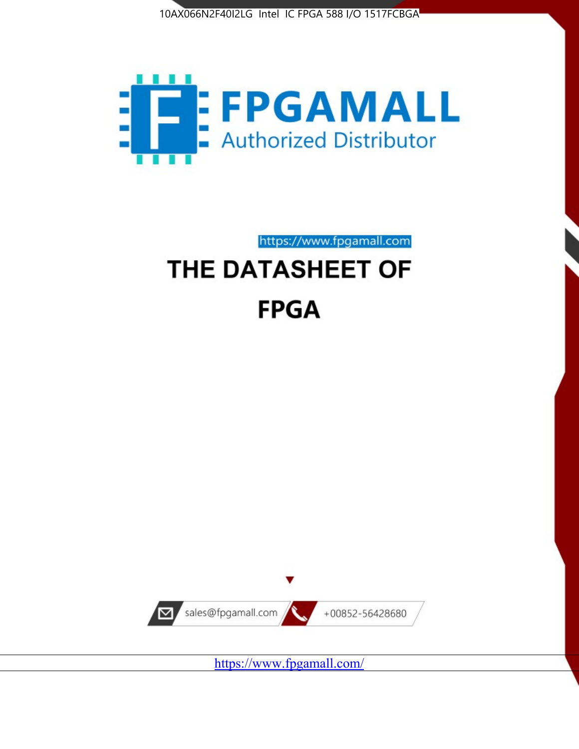



https://www.fpgamall.com

# THE DATASHEET OF **FPGA**



<https://www.fpgamall.com/>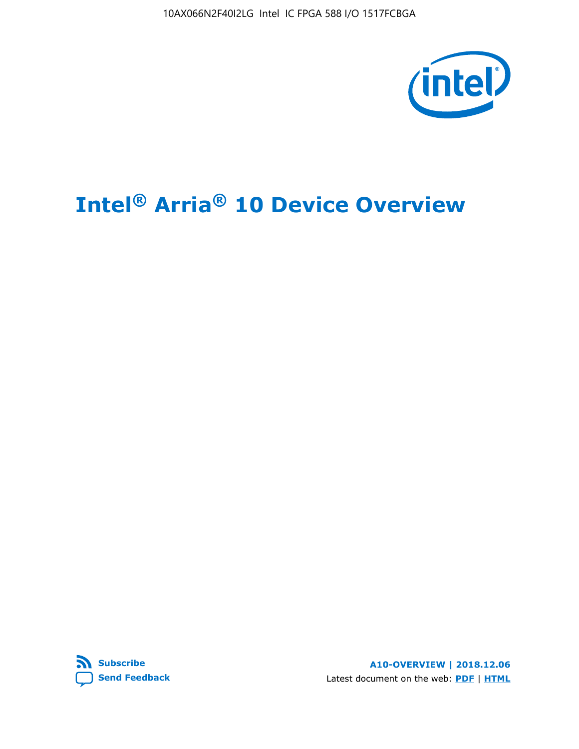10AX066N2F40I2LG Intel IC FPGA 588 I/O 1517FCBGA



# **Intel® Arria® 10 Device Overview**



**A10-OVERVIEW | 2018.12.06** Latest document on the web: **[PDF](https://www.intel.com/content/dam/www/programmable/us/en/pdfs/literature/hb/arria-10/a10_overview.pdf)** | **[HTML](https://www.intel.com/content/www/us/en/programmable/documentation/sam1403480274650.html)**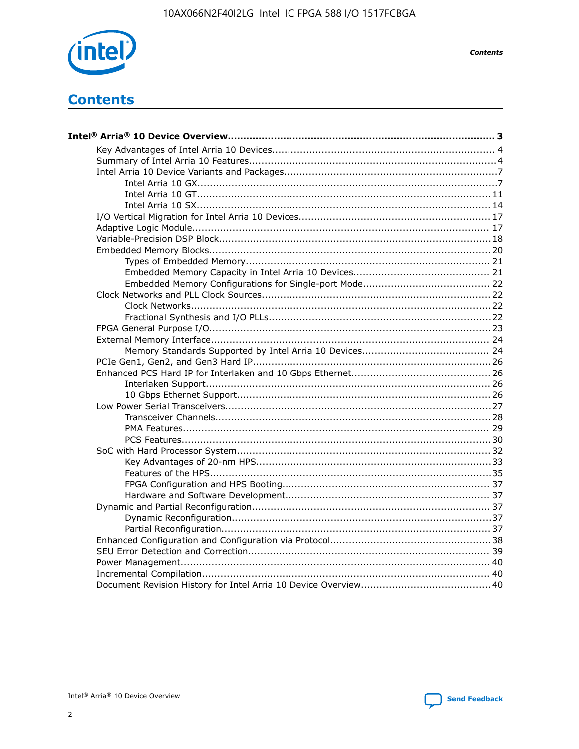

**Contents** 

# **Contents**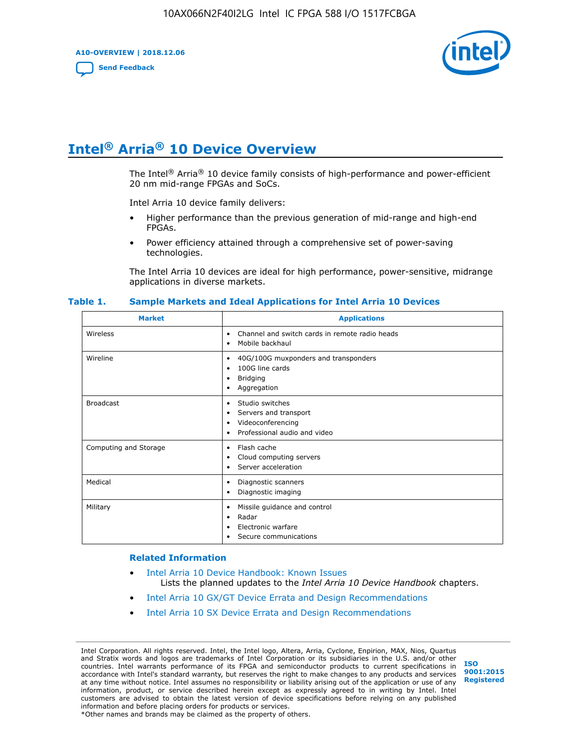**A10-OVERVIEW | 2018.12.06**

**[Send Feedback](mailto:FPGAtechdocfeedback@intel.com?subject=Feedback%20on%20Intel%20Arria%2010%20Device%20Overview%20(A10-OVERVIEW%202018.12.06)&body=We%20appreciate%20your%20feedback.%20In%20your%20comments,%20also%20specify%20the%20page%20number%20or%20paragraph.%20Thank%20you.)**



# **Intel® Arria® 10 Device Overview**

The Intel<sup>®</sup> Arria<sup>®</sup> 10 device family consists of high-performance and power-efficient 20 nm mid-range FPGAs and SoCs.

Intel Arria 10 device family delivers:

- Higher performance than the previous generation of mid-range and high-end FPGAs.
- Power efficiency attained through a comprehensive set of power-saving technologies.

The Intel Arria 10 devices are ideal for high performance, power-sensitive, midrange applications in diverse markets.

| <b>Market</b>         | <b>Applications</b>                                                                                               |
|-----------------------|-------------------------------------------------------------------------------------------------------------------|
| Wireless              | Channel and switch cards in remote radio heads<br>٠<br>Mobile backhaul<br>٠                                       |
| Wireline              | 40G/100G muxponders and transponders<br>٠<br>100G line cards<br>٠<br><b>Bridging</b><br>٠<br>Aggregation<br>٠     |
| <b>Broadcast</b>      | Studio switches<br>٠<br>Servers and transport<br>٠<br>Videoconferencing<br>٠<br>Professional audio and video<br>٠ |
| Computing and Storage | Flash cache<br>٠<br>Cloud computing servers<br>٠<br>Server acceleration<br>٠                                      |
| Medical               | Diagnostic scanners<br>٠<br>Diagnostic imaging<br>٠                                                               |
| Military              | Missile guidance and control<br>٠<br>Radar<br>٠<br>Electronic warfare<br>٠<br>Secure communications<br>٠          |

#### **Table 1. Sample Markets and Ideal Applications for Intel Arria 10 Devices**

#### **Related Information**

- [Intel Arria 10 Device Handbook: Known Issues](http://www.altera.com/support/kdb/solutions/rd07302013_646.html) Lists the planned updates to the *Intel Arria 10 Device Handbook* chapters.
- [Intel Arria 10 GX/GT Device Errata and Design Recommendations](https://www.intel.com/content/www/us/en/programmable/documentation/agz1493851706374.html#yqz1494433888646)
- [Intel Arria 10 SX Device Errata and Design Recommendations](https://www.intel.com/content/www/us/en/programmable/documentation/cru1462832385668.html#cru1462832558642)

Intel Corporation. All rights reserved. Intel, the Intel logo, Altera, Arria, Cyclone, Enpirion, MAX, Nios, Quartus and Stratix words and logos are trademarks of Intel Corporation or its subsidiaries in the U.S. and/or other countries. Intel warrants performance of its FPGA and semiconductor products to current specifications in accordance with Intel's standard warranty, but reserves the right to make changes to any products and services at any time without notice. Intel assumes no responsibility or liability arising out of the application or use of any information, product, or service described herein except as expressly agreed to in writing by Intel. Intel customers are advised to obtain the latest version of device specifications before relying on any published information and before placing orders for products or services. \*Other names and brands may be claimed as the property of others.

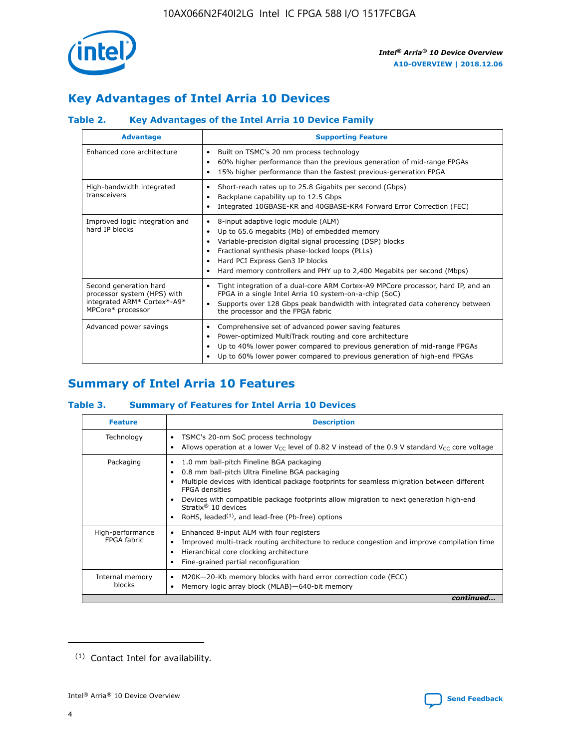

# **Key Advantages of Intel Arria 10 Devices**

## **Table 2. Key Advantages of the Intel Arria 10 Device Family**

| <b>Advantage</b>                                                                                          | <b>Supporting Feature</b>                                                                                                                                                                                                                                                                                                |  |  |  |  |  |  |
|-----------------------------------------------------------------------------------------------------------|--------------------------------------------------------------------------------------------------------------------------------------------------------------------------------------------------------------------------------------------------------------------------------------------------------------------------|--|--|--|--|--|--|
| Enhanced core architecture                                                                                | Built on TSMC's 20 nm process technology<br>٠<br>60% higher performance than the previous generation of mid-range FPGAs<br>٠<br>15% higher performance than the fastest previous-generation FPGA<br>٠                                                                                                                    |  |  |  |  |  |  |
| High-bandwidth integrated<br>transceivers                                                                 | Short-reach rates up to 25.8 Gigabits per second (Gbps)<br>٠<br>Backplane capability up to 12.5 Gbps<br>٠<br>Integrated 10GBASE-KR and 40GBASE-KR4 Forward Error Correction (FEC)<br>٠                                                                                                                                   |  |  |  |  |  |  |
| Improved logic integration and<br>hard IP blocks                                                          | 8-input adaptive logic module (ALM)<br>٠<br>Up to 65.6 megabits (Mb) of embedded memory<br>٠<br>Variable-precision digital signal processing (DSP) blocks<br>Fractional synthesis phase-locked loops (PLLs)<br>Hard PCI Express Gen3 IP blocks<br>Hard memory controllers and PHY up to 2,400 Megabits per second (Mbps) |  |  |  |  |  |  |
| Second generation hard<br>processor system (HPS) with<br>integrated ARM* Cortex*-A9*<br>MPCore* processor | Tight integration of a dual-core ARM Cortex-A9 MPCore processor, hard IP, and an<br>٠<br>FPGA in a single Intel Arria 10 system-on-a-chip (SoC)<br>Supports over 128 Gbps peak bandwidth with integrated data coherency between<br>$\bullet$<br>the processor and the FPGA fabric                                        |  |  |  |  |  |  |
| Advanced power savings                                                                                    | Comprehensive set of advanced power saving features<br>٠<br>Power-optimized MultiTrack routing and core architecture<br>٠<br>Up to 40% lower power compared to previous generation of mid-range FPGAs<br>٠<br>Up to 60% lower power compared to previous generation of high-end FPGAs                                    |  |  |  |  |  |  |

## **Summary of Intel Arria 10 Features**

## **Table 3. Summary of Features for Intel Arria 10 Devices**

| <b>Feature</b>                  | <b>Description</b>                                                                                                                                                                                                                                                                                                                                                                                       |
|---------------------------------|----------------------------------------------------------------------------------------------------------------------------------------------------------------------------------------------------------------------------------------------------------------------------------------------------------------------------------------------------------------------------------------------------------|
| Technology                      | TSMC's 20-nm SoC process technology<br>٠<br>Allows operation at a lower $V_{\text{CC}}$ level of 0.82 V instead of the 0.9 V standard $V_{\text{CC}}$ core voltage                                                                                                                                                                                                                                       |
| Packaging                       | 1.0 mm ball-pitch Fineline BGA packaging<br>0.8 mm ball-pitch Ultra Fineline BGA packaging<br>Multiple devices with identical package footprints for seamless migration between different<br><b>FPGA</b> densities<br>Devices with compatible package footprints allow migration to next generation high-end<br>Stratix $\mathcal{R}$ 10 devices<br>RoHS, leaded $(1)$ , and lead-free (Pb-free) options |
| High-performance<br>FPGA fabric | Enhanced 8-input ALM with four registers<br>٠<br>Improved multi-track routing architecture to reduce congestion and improve compilation time<br>Hierarchical core clocking architecture<br>Fine-grained partial reconfiguration                                                                                                                                                                          |
| Internal memory<br>blocks       | M20K-20-Kb memory blocks with hard error correction code (ECC)<br>Memory logic array block (MLAB)-640-bit memory                                                                                                                                                                                                                                                                                         |
|                                 | continued                                                                                                                                                                                                                                                                                                                                                                                                |



<sup>(1)</sup> Contact Intel for availability.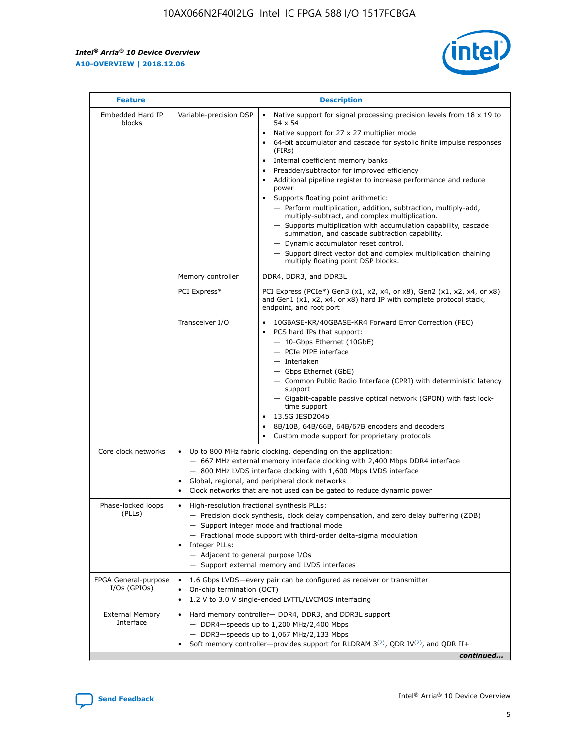r



| <b>Feature</b>                         | <b>Description</b>                                                                                             |                                                                                                                                                                                                                                                                                                                                                                                                                                                                                                                                                                                                                                                                                                                                                                                                                                        |  |  |  |  |  |
|----------------------------------------|----------------------------------------------------------------------------------------------------------------|----------------------------------------------------------------------------------------------------------------------------------------------------------------------------------------------------------------------------------------------------------------------------------------------------------------------------------------------------------------------------------------------------------------------------------------------------------------------------------------------------------------------------------------------------------------------------------------------------------------------------------------------------------------------------------------------------------------------------------------------------------------------------------------------------------------------------------------|--|--|--|--|--|
| Embedded Hard IP<br>blocks             | Variable-precision DSP                                                                                         | Native support for signal processing precision levels from $18 \times 19$ to<br>54 x 54<br>Native support for 27 x 27 multiplier mode<br>64-bit accumulator and cascade for systolic finite impulse responses<br>(FIRs)<br>Internal coefficient memory banks<br>$\bullet$<br>Preadder/subtractor for improved efficiency<br>Additional pipeline register to increase performance and reduce<br>power<br>Supports floating point arithmetic:<br>- Perform multiplication, addition, subtraction, multiply-add,<br>multiply-subtract, and complex multiplication.<br>- Supports multiplication with accumulation capability, cascade<br>summation, and cascade subtraction capability.<br>- Dynamic accumulator reset control.<br>- Support direct vector dot and complex multiplication chaining<br>multiply floating point DSP blocks. |  |  |  |  |  |
|                                        | Memory controller                                                                                              | DDR4, DDR3, and DDR3L                                                                                                                                                                                                                                                                                                                                                                                                                                                                                                                                                                                                                                                                                                                                                                                                                  |  |  |  |  |  |
|                                        | PCI Express*                                                                                                   | PCI Express (PCIe*) Gen3 (x1, x2, x4, or x8), Gen2 (x1, x2, x4, or x8)<br>and Gen1 (x1, x2, x4, or x8) hard IP with complete protocol stack,<br>endpoint, and root port                                                                                                                                                                                                                                                                                                                                                                                                                                                                                                                                                                                                                                                                |  |  |  |  |  |
|                                        | Transceiver I/O                                                                                                | 10GBASE-KR/40GBASE-KR4 Forward Error Correction (FEC)<br>PCS hard IPs that support:<br>$\bullet$<br>- 10-Gbps Ethernet (10GbE)<br>- PCIe PIPE interface<br>$-$ Interlaken<br>- Gbps Ethernet (GbE)<br>- Common Public Radio Interface (CPRI) with deterministic latency<br>support<br>- Gigabit-capable passive optical network (GPON) with fast lock-<br>time support<br>13.5G JESD204b<br>$\bullet$<br>8B/10B, 64B/66B, 64B/67B encoders and decoders<br>Custom mode support for proprietary protocols                                                                                                                                                                                                                                                                                                                               |  |  |  |  |  |
| Core clock networks                    | $\bullet$<br>$\bullet$                                                                                         | Up to 800 MHz fabric clocking, depending on the application:<br>- 667 MHz external memory interface clocking with 2,400 Mbps DDR4 interface<br>- 800 MHz LVDS interface clocking with 1,600 Mbps LVDS interface<br>Global, regional, and peripheral clock networks<br>Clock networks that are not used can be gated to reduce dynamic power                                                                                                                                                                                                                                                                                                                                                                                                                                                                                            |  |  |  |  |  |
| Phase-locked loops<br>(PLLs)           | High-resolution fractional synthesis PLLs:<br>$\bullet$<br>Integer PLLs:<br>- Adjacent to general purpose I/Os | - Precision clock synthesis, clock delay compensation, and zero delay buffering (ZDB)<br>- Support integer mode and fractional mode<br>- Fractional mode support with third-order delta-sigma modulation<br>- Support external memory and LVDS interfaces                                                                                                                                                                                                                                                                                                                                                                                                                                                                                                                                                                              |  |  |  |  |  |
| FPGA General-purpose<br>$I/Os$ (GPIOs) | On-chip termination (OCT)                                                                                      | 1.6 Gbps LVDS-every pair can be configured as receiver or transmitter<br>1.2 V to 3.0 V single-ended LVTTL/LVCMOS interfacing                                                                                                                                                                                                                                                                                                                                                                                                                                                                                                                                                                                                                                                                                                          |  |  |  |  |  |
| <b>External Memory</b><br>Interface    |                                                                                                                | Hard memory controller- DDR4, DDR3, and DDR3L support<br>$-$ DDR4 $-$ speeds up to 1,200 MHz/2,400 Mbps<br>- DDR3-speeds up to 1,067 MHz/2,133 Mbps<br>Soft memory controller—provides support for RLDRAM $3^{(2)}$ , QDR IV $^{(2)}$ , and QDR II+<br>continued                                                                                                                                                                                                                                                                                                                                                                                                                                                                                                                                                                       |  |  |  |  |  |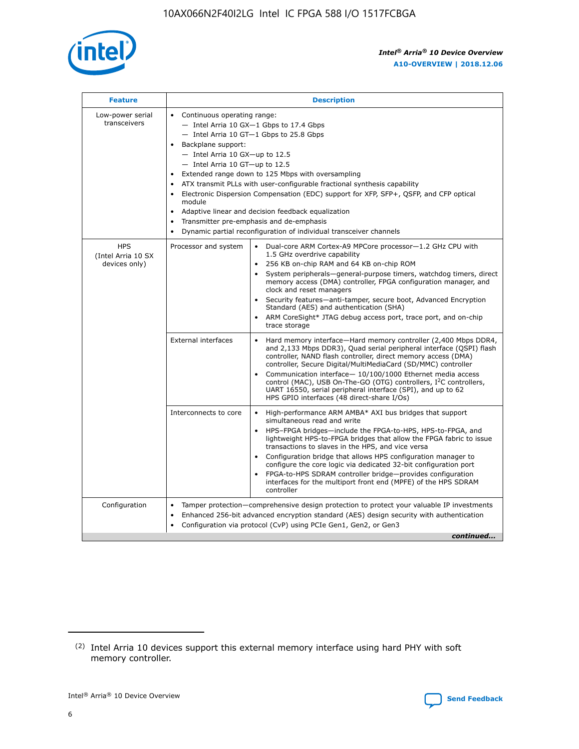

| <b>Feature</b>                                    | <b>Description</b>                                                                                                                                                                                                                                                                                                                                                                                                                                                                                                                                                                                                                                  |
|---------------------------------------------------|-----------------------------------------------------------------------------------------------------------------------------------------------------------------------------------------------------------------------------------------------------------------------------------------------------------------------------------------------------------------------------------------------------------------------------------------------------------------------------------------------------------------------------------------------------------------------------------------------------------------------------------------------------|
| Low-power serial<br>transceivers                  | • Continuous operating range:<br>- Intel Arria 10 GX-1 Gbps to 17.4 Gbps<br>- Intel Arria 10 GT-1 Gbps to 25.8 Gbps<br>Backplane support:<br>- Intel Arria 10 GX-up to 12.5<br>- Intel Arria 10 GT-up to 12.5<br>Extended range down to 125 Mbps with oversampling<br>ATX transmit PLLs with user-configurable fractional synthesis capability<br>Electronic Dispersion Compensation (EDC) support for XFP, SFP+, QSFP, and CFP optical<br>module<br>Adaptive linear and decision feedback equalization<br>$\bullet$<br>Transmitter pre-emphasis and de-emphasis<br>$\bullet$<br>Dynamic partial reconfiguration of individual transceiver channels |
| <b>HPS</b><br>(Intel Arria 10 SX<br>devices only) | Dual-core ARM Cortex-A9 MPCore processor-1.2 GHz CPU with<br>Processor and system<br>$\bullet$<br>1.5 GHz overdrive capability<br>256 KB on-chip RAM and 64 KB on-chip ROM<br>System peripherals—general-purpose timers, watchdog timers, direct<br>memory access (DMA) controller, FPGA configuration manager, and<br>clock and reset managers<br>Security features-anti-tamper, secure boot, Advanced Encryption<br>Standard (AES) and authentication (SHA)<br>ARM CoreSight* JTAG debug access port, trace port, and on-chip<br>trace storage                                                                                                    |
|                                                   | <b>External interfaces</b><br>Hard memory interface-Hard memory controller (2,400 Mbps DDR4,<br>$\bullet$<br>and 2,133 Mbps DDR3), Quad serial peripheral interface (QSPI) flash<br>controller, NAND flash controller, direct memory access (DMA)<br>controller, Secure Digital/MultiMediaCard (SD/MMC) controller<br>Communication interface-10/100/1000 Ethernet media access<br>control (MAC), USB On-The-GO (OTG) controllers, I <sup>2</sup> C controllers,<br>UART 16550, serial peripheral interface (SPI), and up to 62<br>HPS GPIO interfaces (48 direct-share I/Os)                                                                       |
|                                                   | High-performance ARM AMBA* AXI bus bridges that support<br>Interconnects to core<br>$\bullet$<br>simultaneous read and write<br>HPS-FPGA bridges-include the FPGA-to-HPS, HPS-to-FPGA, and<br>$\bullet$<br>lightweight HPS-to-FPGA bridges that allow the FPGA fabric to issue<br>transactions to slaves in the HPS, and vice versa<br>Configuration bridge that allows HPS configuration manager to<br>configure the core logic via dedicated 32-bit configuration port<br>FPGA-to-HPS SDRAM controller bridge-provides configuration<br>interfaces for the multiport front end (MPFE) of the HPS SDRAM<br>controller                              |
| Configuration                                     | Tamper protection—comprehensive design protection to protect your valuable IP investments<br>Enhanced 256-bit advanced encryption standard (AES) design security with authentication<br>٠<br>Configuration via protocol (CvP) using PCIe Gen1, Gen2, or Gen3<br>continued                                                                                                                                                                                                                                                                                                                                                                           |

<sup>(2)</sup> Intel Arria 10 devices support this external memory interface using hard PHY with soft memory controller.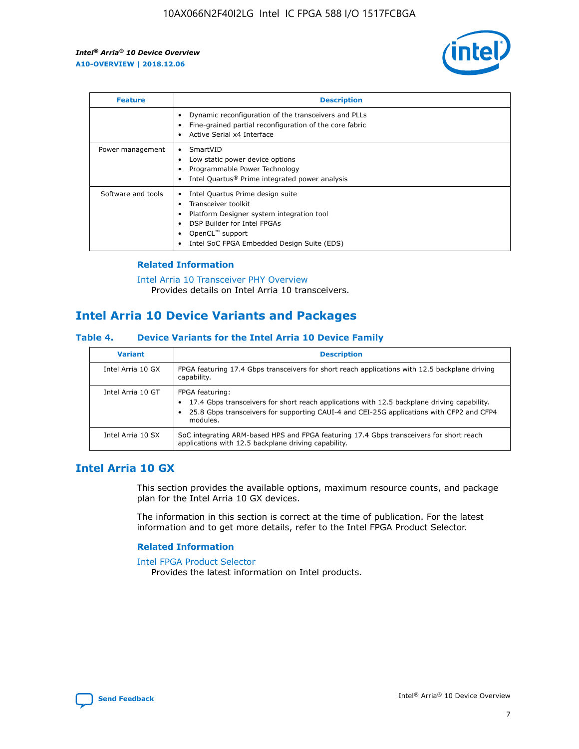

| <b>Feature</b>     | <b>Description</b>                                                                                                                                                                                                            |
|--------------------|-------------------------------------------------------------------------------------------------------------------------------------------------------------------------------------------------------------------------------|
|                    | Dynamic reconfiguration of the transceivers and PLLs<br>Fine-grained partial reconfiguration of the core fabric<br>Active Serial x4 Interface<br>$\bullet$                                                                    |
| Power management   | SmartVID<br>Low static power device options<br>Programmable Power Technology<br>Intel Quartus <sup>®</sup> Prime integrated power analysis                                                                                    |
| Software and tools | Intel Quartus Prime design suite<br>Transceiver toolkit<br>$\bullet$<br>Platform Designer system integration tool<br>DSP Builder for Intel FPGAs<br>OpenCL <sup>™</sup> support<br>Intel SoC FPGA Embedded Design Suite (EDS) |

## **Related Information**

[Intel Arria 10 Transceiver PHY Overview](https://www.intel.com/content/www/us/en/programmable/documentation/nik1398707230472.html#nik1398706768037) Provides details on Intel Arria 10 transceivers.

## **Intel Arria 10 Device Variants and Packages**

#### **Table 4. Device Variants for the Intel Arria 10 Device Family**

| <b>Variant</b>    | <b>Description</b>                                                                                                                                                                                                     |
|-------------------|------------------------------------------------------------------------------------------------------------------------------------------------------------------------------------------------------------------------|
| Intel Arria 10 GX | FPGA featuring 17.4 Gbps transceivers for short reach applications with 12.5 backplane driving<br>capability.                                                                                                          |
| Intel Arria 10 GT | FPGA featuring:<br>17.4 Gbps transceivers for short reach applications with 12.5 backplane driving capability.<br>25.8 Gbps transceivers for supporting CAUI-4 and CEI-25G applications with CFP2 and CFP4<br>modules. |
| Intel Arria 10 SX | SoC integrating ARM-based HPS and FPGA featuring 17.4 Gbps transceivers for short reach<br>applications with 12.5 backplane driving capability.                                                                        |

## **Intel Arria 10 GX**

This section provides the available options, maximum resource counts, and package plan for the Intel Arria 10 GX devices.

The information in this section is correct at the time of publication. For the latest information and to get more details, refer to the Intel FPGA Product Selector.

#### **Related Information**

#### [Intel FPGA Product Selector](http://www.altera.com/products/selector/psg-selector.html) Provides the latest information on Intel products.

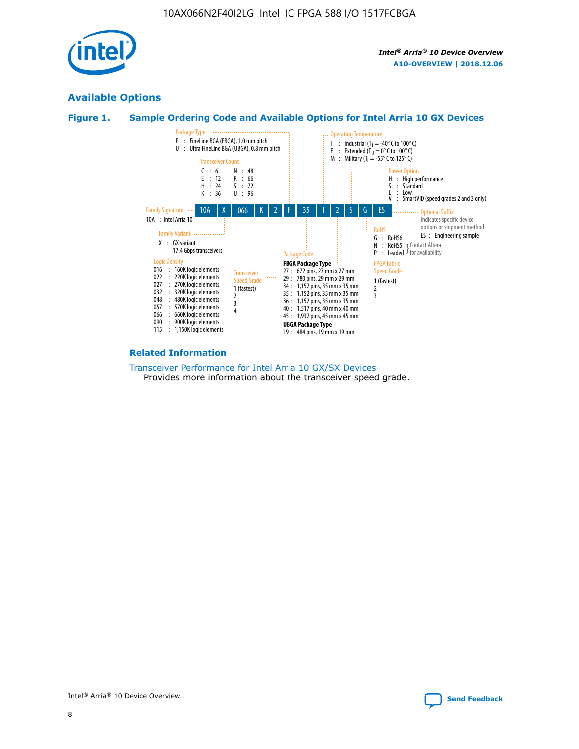

## **Available Options**





#### **Related Information**

[Transceiver Performance for Intel Arria 10 GX/SX Devices](https://www.intel.com/content/www/us/en/programmable/documentation/mcn1413182292568.html#mcn1413213965502) Provides more information about the transceiver speed grade.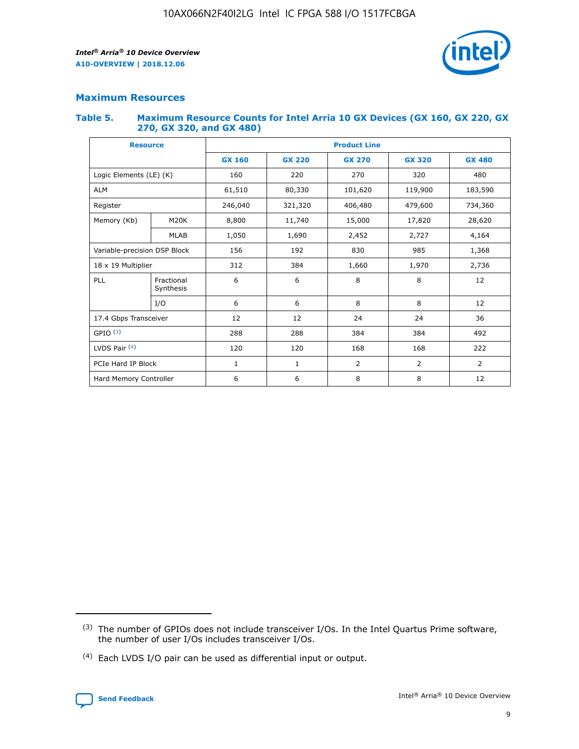

## **Maximum Resources**

#### **Table 5. Maximum Resource Counts for Intel Arria 10 GX Devices (GX 160, GX 220, GX 270, GX 320, and GX 480)**

| <b>Resource</b>         |                                                          | <b>Product Line</b> |                                |                |                |                |  |  |  |
|-------------------------|----------------------------------------------------------|---------------------|--------------------------------|----------------|----------------|----------------|--|--|--|
|                         |                                                          | <b>GX 160</b>       | <b>GX 220</b><br><b>GX 270</b> |                | <b>GX 320</b>  | <b>GX 480</b>  |  |  |  |
| Logic Elements (LE) (K) |                                                          | 160                 | 220                            | 270            | 320            | 480            |  |  |  |
| <b>ALM</b>              |                                                          | 61,510              | 80,330                         | 101,620        | 119,900        | 183,590        |  |  |  |
| Register                |                                                          | 246,040             | 321,320                        | 406,480        | 479,600        | 734,360        |  |  |  |
| Memory (Kb)             | M <sub>20</sub> K                                        | 8,800               | 11,740                         | 15,000         | 17,820         | 28,620         |  |  |  |
| <b>MLAB</b>             |                                                          | 1,050               | 1,690                          | 2,452          | 2,727          | 4,164          |  |  |  |
|                         | 985<br>Variable-precision DSP Block<br>156<br>192<br>830 |                     |                                |                | 1,368          |                |  |  |  |
| 18 x 19 Multiplier      |                                                          | 312                 | 384                            | 1,660          | 1,970          | 2,736          |  |  |  |
| PLL                     | Fractional<br>Synthesis                                  | 6                   | 6                              | 8              | 8              | 12             |  |  |  |
|                         | I/O                                                      | 6                   | 6                              | 8              | 8              | 12             |  |  |  |
| 17.4 Gbps Transceiver   |                                                          | 12                  | 12                             | 24             | 24             |                |  |  |  |
| GPIO <sup>(3)</sup>     |                                                          | 288                 | 288                            | 384<br>384     |                | 492            |  |  |  |
| LVDS Pair $(4)$         |                                                          | 120                 | 120                            | 168            | 168            | 222            |  |  |  |
| PCIe Hard IP Block      |                                                          | $\mathbf{1}$        | 1                              | $\overline{2}$ | $\overline{2}$ | $\overline{2}$ |  |  |  |
| Hard Memory Controller  |                                                          | 6                   | 6                              | 8              | 8              | 12             |  |  |  |

<sup>(4)</sup> Each LVDS I/O pair can be used as differential input or output.



<sup>(3)</sup> The number of GPIOs does not include transceiver I/Os. In the Intel Quartus Prime software, the number of user I/Os includes transceiver I/Os.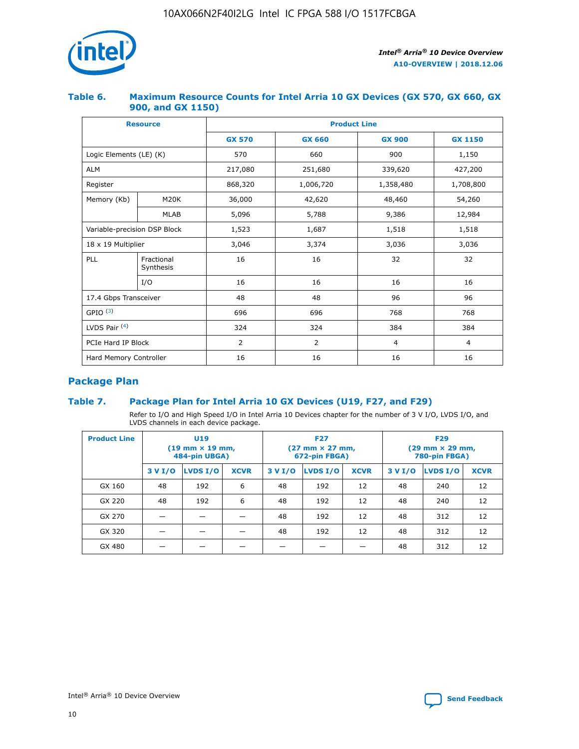

## **Table 6. Maximum Resource Counts for Intel Arria 10 GX Devices (GX 570, GX 660, GX 900, and GX 1150)**

|                              | <b>Resource</b>         | <b>Product Line</b> |                |                |                |  |  |  |
|------------------------------|-------------------------|---------------------|----------------|----------------|----------------|--|--|--|
|                              |                         | <b>GX 570</b>       | <b>GX 660</b>  | <b>GX 900</b>  | <b>GX 1150</b> |  |  |  |
| Logic Elements (LE) (K)      |                         | 570                 | 660            | 900            | 1,150          |  |  |  |
| <b>ALM</b>                   |                         | 217,080             | 251,680        | 339,620        | 427,200        |  |  |  |
| Register                     |                         | 868,320             | 1,006,720      | 1,358,480      | 1,708,800      |  |  |  |
| Memory (Kb)                  | <b>M20K</b>             | 36,000              | 42,620         | 48,460         | 54,260         |  |  |  |
|                              | <b>MLAB</b>             | 5,096               | 5,788          | 9,386          | 12,984         |  |  |  |
| Variable-precision DSP Block |                         | 1,523               | 1,687          | 1,518          | 1,518          |  |  |  |
| $18 \times 19$ Multiplier    |                         | 3,046               | 3,374          | 3,036          | 3,036          |  |  |  |
| PLL                          | Fractional<br>Synthesis | 16                  | 16             | 32             | 32             |  |  |  |
|                              | I/O                     | 16                  | 16             | 16             | 16             |  |  |  |
| 17.4 Gbps Transceiver        |                         | 48                  | 48             | 96             | 96             |  |  |  |
| GPIO <sup>(3)</sup>          |                         | 696                 | 696            | 768            | 768            |  |  |  |
| LVDS Pair $(4)$              |                         | 324                 | 324            | 384            | 384            |  |  |  |
| PCIe Hard IP Block           |                         | $\overline{2}$      | $\overline{2}$ | $\overline{4}$ | $\overline{4}$ |  |  |  |
| Hard Memory Controller       |                         | 16                  | 16             | 16             | 16             |  |  |  |

## **Package Plan**

## **Table 7. Package Plan for Intel Arria 10 GX Devices (U19, F27, and F29)**

Refer to I/O and High Speed I/O in Intel Arria 10 Devices chapter for the number of 3 V I/O, LVDS I/O, and LVDS channels in each device package.

| <b>Product Line</b> | <b>U19</b><br>$(19 \text{ mm} \times 19 \text{ mm})$<br>484-pin UBGA) |          |             |         | <b>F27</b><br>(27 mm × 27 mm,<br>672-pin FBGA) |             | <b>F29</b><br>(29 mm × 29 mm,<br>780-pin FBGA) |          |             |  |
|---------------------|-----------------------------------------------------------------------|----------|-------------|---------|------------------------------------------------|-------------|------------------------------------------------|----------|-------------|--|
|                     | 3 V I/O                                                               | LVDS I/O | <b>XCVR</b> | 3 V I/O | LVDS I/O                                       | <b>XCVR</b> | 3 V I/O                                        | LVDS I/O | <b>XCVR</b> |  |
| GX 160              | 48                                                                    | 192      | 6           | 48      | 192                                            | 12          | 48                                             | 240      | 12          |  |
| GX 220              | 48                                                                    | 192      | 6           | 48      | 192                                            | 12          | 48                                             | 240      | 12          |  |
| GX 270              |                                                                       |          |             | 48      | 192                                            | 12          | 48                                             | 312      | 12          |  |
| GX 320              |                                                                       |          |             | 48      | 192                                            | 12          | 48                                             | 312      | 12          |  |
| GX 480              |                                                                       |          |             |         |                                                |             | 48                                             | 312      | 12          |  |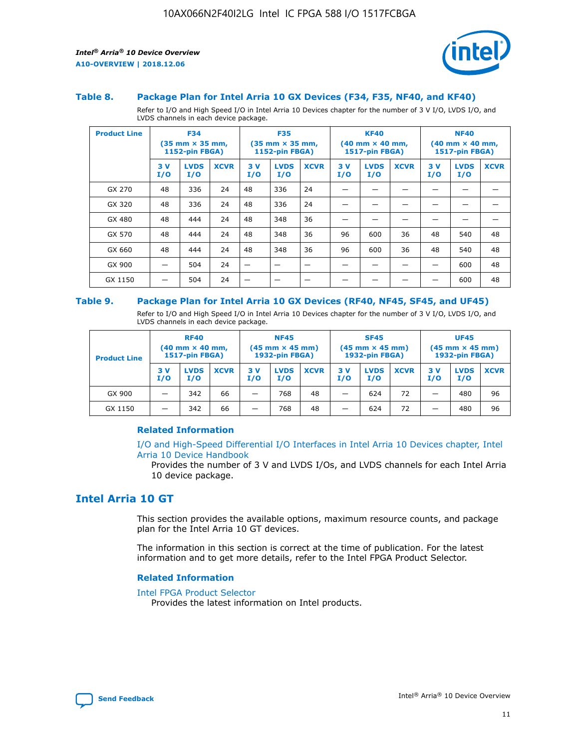

#### **Table 8. Package Plan for Intel Arria 10 GX Devices (F34, F35, NF40, and KF40)**

Refer to I/O and High Speed I/O in Intel Arria 10 Devices chapter for the number of 3 V I/O, LVDS I/O, and LVDS channels in each device package.

| <b>Product Line</b> | <b>F34</b><br>$(35 \text{ mm} \times 35 \text{ mm})$<br>1152-pin FBGA) |                    | <b>F35</b><br>$(35 \text{ mm} \times 35 \text{ mm})$<br><b>1152-pin FBGA)</b> |           | <b>KF40</b><br>$(40$ mm $\times$ 40 mm,<br>1517-pin FBGA) |             |           | <b>NF40</b><br>$(40$ mm $\times$ 40 mm,<br><b>1517-pin FBGA)</b> |             |            |                    |             |
|---------------------|------------------------------------------------------------------------|--------------------|-------------------------------------------------------------------------------|-----------|-----------------------------------------------------------|-------------|-----------|------------------------------------------------------------------|-------------|------------|--------------------|-------------|
|                     | 3V<br>I/O                                                              | <b>LVDS</b><br>I/O | <b>XCVR</b>                                                                   | 3V<br>I/O | <b>LVDS</b><br>I/O                                        | <b>XCVR</b> | 3V<br>I/O | <b>LVDS</b><br>I/O                                               | <b>XCVR</b> | 3 V<br>I/O | <b>LVDS</b><br>I/O | <b>XCVR</b> |
| GX 270              | 48                                                                     | 336                | 24                                                                            | 48        | 336                                                       | 24          |           |                                                                  |             |            |                    |             |
| GX 320              | 48                                                                     | 336                | 24                                                                            | 48        | 336                                                       | 24          |           |                                                                  |             |            |                    |             |
| GX 480              | 48                                                                     | 444                | 24                                                                            | 48        | 348                                                       | 36          |           |                                                                  |             |            |                    |             |
| GX 570              | 48                                                                     | 444                | 24                                                                            | 48        | 348                                                       | 36          | 96        | 600                                                              | 36          | 48         | 540                | 48          |
| GX 660              | 48                                                                     | 444                | 24                                                                            | 48        | 348                                                       | 36          | 96        | 600                                                              | 36          | 48         | 540                | 48          |
| GX 900              |                                                                        | 504                | 24                                                                            | -         |                                                           |             |           |                                                                  |             |            | 600                | 48          |
| GX 1150             |                                                                        | 504                | 24                                                                            |           |                                                           |             |           |                                                                  |             |            | 600                | 48          |

#### **Table 9. Package Plan for Intel Arria 10 GX Devices (RF40, NF45, SF45, and UF45)**

Refer to I/O and High Speed I/O in Intel Arria 10 Devices chapter for the number of 3 V I/O, LVDS I/O, and LVDS channels in each device package.

| <b>Product Line</b> | <b>RF40</b><br>$(40$ mm $\times$ 40 mm,<br>1517-pin FBGA) |                    | <b>NF45</b><br>$(45 \text{ mm} \times 45 \text{ mm})$<br><b>1932-pin FBGA)</b> |            |                    | <b>SF45</b><br>$(45 \text{ mm} \times 45 \text{ mm})$<br><b>1932-pin FBGA)</b> |            |                    | <b>UF45</b><br>$(45 \text{ mm} \times 45 \text{ mm})$<br><b>1932-pin FBGA)</b> |           |                    |             |
|---------------------|-----------------------------------------------------------|--------------------|--------------------------------------------------------------------------------|------------|--------------------|--------------------------------------------------------------------------------|------------|--------------------|--------------------------------------------------------------------------------|-----------|--------------------|-------------|
|                     | 3V<br>I/O                                                 | <b>LVDS</b><br>I/O | <b>XCVR</b>                                                                    | 3 V<br>I/O | <b>LVDS</b><br>I/O | <b>XCVR</b>                                                                    | 3 V<br>I/O | <b>LVDS</b><br>I/O | <b>XCVR</b>                                                                    | 3V<br>I/O | <b>LVDS</b><br>I/O | <b>XCVR</b> |
| GX 900              |                                                           | 342                | 66                                                                             | _          | 768                | 48                                                                             |            | 624                | 72                                                                             |           | 480                | 96          |
| GX 1150             |                                                           | 342                | 66                                                                             | _          | 768                | 48                                                                             |            | 624                | 72                                                                             |           | 480                | 96          |

### **Related Information**

[I/O and High-Speed Differential I/O Interfaces in Intel Arria 10 Devices chapter, Intel](https://www.intel.com/content/www/us/en/programmable/documentation/sam1403482614086.html#sam1403482030321) [Arria 10 Device Handbook](https://www.intel.com/content/www/us/en/programmable/documentation/sam1403482614086.html#sam1403482030321)

Provides the number of 3 V and LVDS I/Os, and LVDS channels for each Intel Arria 10 device package.

## **Intel Arria 10 GT**

This section provides the available options, maximum resource counts, and package plan for the Intel Arria 10 GT devices.

The information in this section is correct at the time of publication. For the latest information and to get more details, refer to the Intel FPGA Product Selector.

#### **Related Information**

#### [Intel FPGA Product Selector](http://www.altera.com/products/selector/psg-selector.html)

Provides the latest information on Intel products.

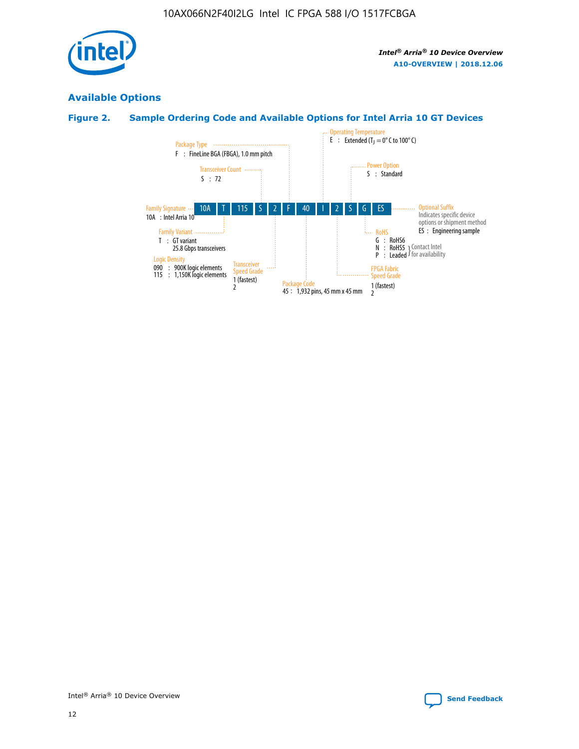

## **Available Options**

## **Figure 2. Sample Ordering Code and Available Options for Intel Arria 10 GT Devices**

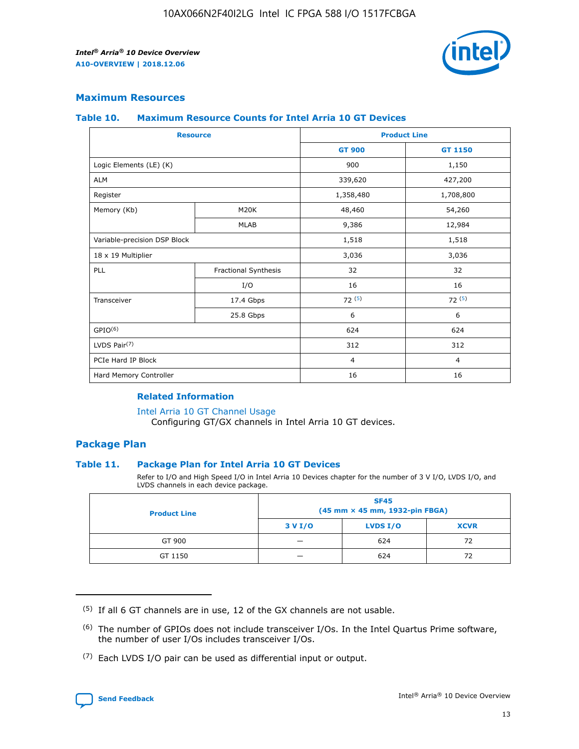

## **Maximum Resources**

#### **Table 10. Maximum Resource Counts for Intel Arria 10 GT Devices**

| <b>Resource</b>              |                      |                | <b>Product Line</b> |  |
|------------------------------|----------------------|----------------|---------------------|--|
|                              |                      | <b>GT 900</b>  | GT 1150             |  |
| Logic Elements (LE) (K)      |                      | 900            | 1,150               |  |
| <b>ALM</b>                   |                      | 339,620        | 427,200             |  |
| Register                     |                      | 1,358,480      | 1,708,800           |  |
| Memory (Kb)                  | M20K                 | 48,460         | 54,260              |  |
|                              | <b>MLAB</b>          | 9,386          | 12,984              |  |
| Variable-precision DSP Block |                      | 1,518          | 1,518               |  |
| 18 x 19 Multiplier           |                      | 3,036          | 3,036               |  |
| <b>PLL</b>                   | Fractional Synthesis | 32             | 32                  |  |
|                              | I/O                  | 16             | 16                  |  |
| Transceiver                  | 17.4 Gbps            | 72(5)          | 72(5)               |  |
|                              | 25.8 Gbps            | 6              | 6                   |  |
| GPIO <sup>(6)</sup>          |                      | 624            | 624                 |  |
| LVDS Pair $(7)$              |                      | 312            | 312                 |  |
| PCIe Hard IP Block           |                      | $\overline{4}$ | $\overline{4}$      |  |
| Hard Memory Controller       |                      | 16             | 16                  |  |

#### **Related Information**

#### [Intel Arria 10 GT Channel Usage](https://www.intel.com/content/www/us/en/programmable/documentation/nik1398707230472.html#nik1398707008178)

Configuring GT/GX channels in Intel Arria 10 GT devices.

## **Package Plan**

### **Table 11. Package Plan for Intel Arria 10 GT Devices**

Refer to I/O and High Speed I/O in Intel Arria 10 Devices chapter for the number of 3 V I/O, LVDS I/O, and LVDS channels in each device package.

| <b>Product Line</b> | <b>SF45</b><br>(45 mm × 45 mm, 1932-pin FBGA) |                 |             |  |  |  |
|---------------------|-----------------------------------------------|-----------------|-------------|--|--|--|
|                     | 3 V I/O                                       | <b>LVDS I/O</b> | <b>XCVR</b> |  |  |  |
| GT 900              |                                               | 624             | 72          |  |  |  |
| GT 1150             |                                               | 624             | 72          |  |  |  |

<sup>(7)</sup> Each LVDS I/O pair can be used as differential input or output.



 $(5)$  If all 6 GT channels are in use, 12 of the GX channels are not usable.

<sup>(6)</sup> The number of GPIOs does not include transceiver I/Os. In the Intel Quartus Prime software, the number of user I/Os includes transceiver I/Os.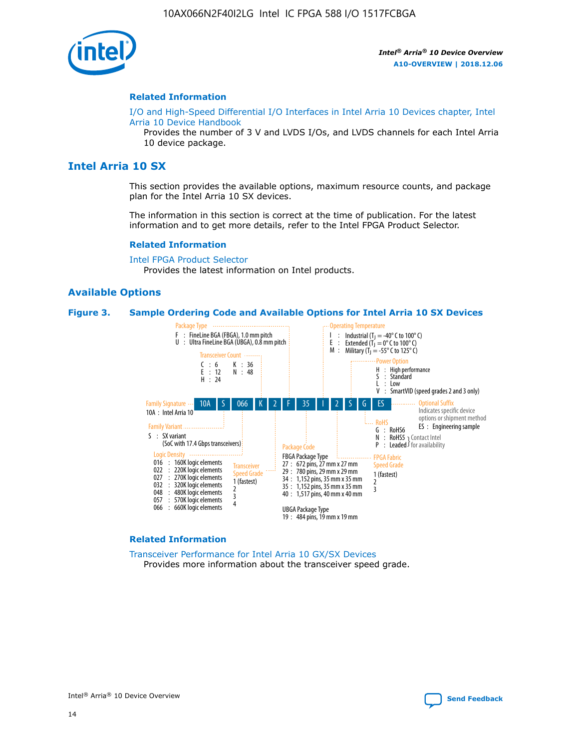

#### **Related Information**

[I/O and High-Speed Differential I/O Interfaces in Intel Arria 10 Devices chapter, Intel](https://www.intel.com/content/www/us/en/programmable/documentation/sam1403482614086.html#sam1403482030321) [Arria 10 Device Handbook](https://www.intel.com/content/www/us/en/programmable/documentation/sam1403482614086.html#sam1403482030321)

Provides the number of 3 V and LVDS I/Os, and LVDS channels for each Intel Arria 10 device package.

## **Intel Arria 10 SX**

This section provides the available options, maximum resource counts, and package plan for the Intel Arria 10 SX devices.

The information in this section is correct at the time of publication. For the latest information and to get more details, refer to the Intel FPGA Product Selector.

#### **Related Information**

[Intel FPGA Product Selector](http://www.altera.com/products/selector/psg-selector.html) Provides the latest information on Intel products.

#### **Available Options**

#### **Figure 3. Sample Ordering Code and Available Options for Intel Arria 10 SX Devices**



#### **Related Information**

[Transceiver Performance for Intel Arria 10 GX/SX Devices](https://www.intel.com/content/www/us/en/programmable/documentation/mcn1413182292568.html#mcn1413213965502) Provides more information about the transceiver speed grade.

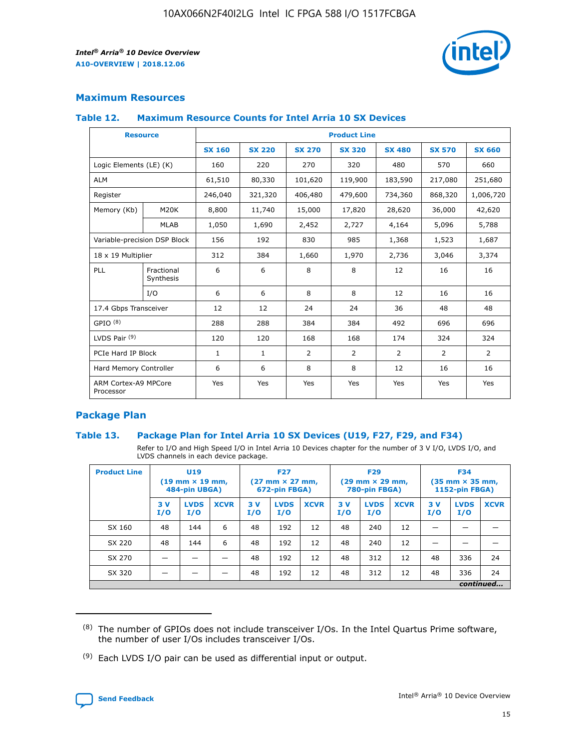

## **Maximum Resources**

#### **Table 12. Maximum Resource Counts for Intel Arria 10 SX Devices**

|                                   | <b>Resource</b>         | <b>Product Line</b> |               |                |                |                |                |                |  |  |  |
|-----------------------------------|-------------------------|---------------------|---------------|----------------|----------------|----------------|----------------|----------------|--|--|--|
|                                   |                         | <b>SX 160</b>       | <b>SX 220</b> | <b>SX 270</b>  | <b>SX 320</b>  | <b>SX 480</b>  | <b>SX 570</b>  | <b>SX 660</b>  |  |  |  |
| Logic Elements (LE) (K)           |                         | 160                 | 220           | 270            | 320            | 480            | 570            | 660            |  |  |  |
| <b>ALM</b>                        |                         | 61,510              | 80,330        | 101,620        | 119,900        | 183,590        | 217,080        | 251,680        |  |  |  |
| Register                          |                         | 246,040             | 321,320       | 406,480        | 479,600        | 734,360        | 868,320        | 1,006,720      |  |  |  |
| Memory (Kb)                       | M <sub>20</sub> K       | 8,800               | 11,740        | 15,000         | 17,820         | 28,620         | 36,000         | 42,620         |  |  |  |
|                                   | <b>MLAB</b>             | 1,050               | 1,690         | 2,452          | 2,727          | 4,164          | 5,096          | 5,788          |  |  |  |
| Variable-precision DSP Block      |                         | 156                 | 192           | 830            | 985            | 1,368          | 1,523          | 1,687          |  |  |  |
| 18 x 19 Multiplier                |                         | 312                 | 384           | 1,660          | 1,970          | 2,736          | 3,046          | 3,374          |  |  |  |
| <b>PLL</b>                        | Fractional<br>Synthesis | 6                   | 6             | 8              | 8              | 12             | 16             | 16             |  |  |  |
|                                   | I/O                     | 6                   | 6             | 8              | 8              | 12             | 16             | 16             |  |  |  |
| 17.4 Gbps Transceiver             |                         | 12                  | 12            | 24             | 24             | 36             | 48             | 48             |  |  |  |
| GPIO <sup>(8)</sup>               |                         | 288                 | 288           | 384            | 384            | 492            | 696            | 696            |  |  |  |
| LVDS Pair $(9)$                   |                         | 120                 | 120           | 168            | 168            | 174            | 324            | 324            |  |  |  |
| PCIe Hard IP Block                |                         | $\mathbf{1}$        | $\mathbf{1}$  | $\overline{2}$ | $\overline{2}$ | $\overline{2}$ | $\overline{2}$ | $\overline{2}$ |  |  |  |
| Hard Memory Controller            |                         | 6                   | 6             | 8              | 8              | 12             | 16             | 16             |  |  |  |
| ARM Cortex-A9 MPCore<br>Processor |                         | Yes                 | Yes           | Yes            | Yes            | Yes            | Yes            | Yes            |  |  |  |

## **Package Plan**

### **Table 13. Package Plan for Intel Arria 10 SX Devices (U19, F27, F29, and F34)**

Refer to I/O and High Speed I/O in Intel Arria 10 Devices chapter for the number of 3 V I/O, LVDS I/O, and LVDS channels in each device package.

| <b>Product Line</b> | <b>U19</b><br>$(19 \text{ mm} \times 19 \text{ mm})$<br>484-pin UBGA) |                    |             | <b>F27</b><br>$(27 \text{ mm} \times 27 \text{ mm})$<br>672-pin FBGA) |                    | <b>F29</b><br>$(29 \text{ mm} \times 29 \text{ mm})$<br>780-pin FBGA) |           |                    | <b>F34</b><br>$(35 \text{ mm} \times 35 \text{ mm})$<br><b>1152-pin FBGA)</b> |           |                    |             |
|---------------------|-----------------------------------------------------------------------|--------------------|-------------|-----------------------------------------------------------------------|--------------------|-----------------------------------------------------------------------|-----------|--------------------|-------------------------------------------------------------------------------|-----------|--------------------|-------------|
|                     | 3V<br>I/O                                                             | <b>LVDS</b><br>I/O | <b>XCVR</b> | 3V<br>I/O                                                             | <b>LVDS</b><br>I/O | <b>XCVR</b>                                                           | 3V<br>I/O | <b>LVDS</b><br>I/O | <b>XCVR</b>                                                                   | 3V<br>I/O | <b>LVDS</b><br>I/O | <b>XCVR</b> |
| SX 160              | 48                                                                    | 144                | 6           | 48                                                                    | 192                | 12                                                                    | 48        | 240                | 12                                                                            | -         |                    |             |
| SX 220              | 48                                                                    | 144                | 6           | 48                                                                    | 192                | 12                                                                    | 48        | 240                | 12                                                                            |           |                    |             |
| SX 270              |                                                                       |                    |             | 48                                                                    | 192                | 12                                                                    | 48        | 312                | 12                                                                            | 48        | 336                | 24          |
| SX 320              |                                                                       |                    |             | 48                                                                    | 192                | 12                                                                    | 48        | 312                | 12                                                                            | 48        | 336                | 24          |
|                     | continued                                                             |                    |             |                                                                       |                    |                                                                       |           |                    |                                                                               |           |                    |             |

 $(8)$  The number of GPIOs does not include transceiver I/Os. In the Intel Quartus Prime software, the number of user I/Os includes transceiver I/Os.

 $(9)$  Each LVDS I/O pair can be used as differential input or output.

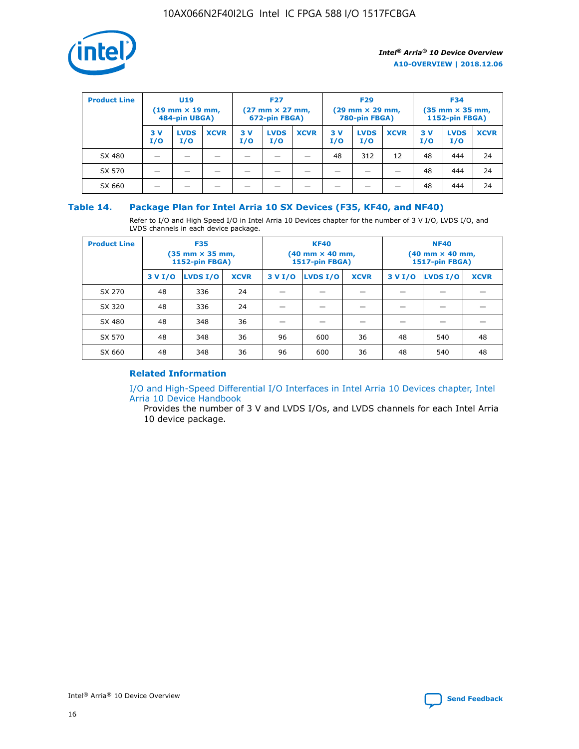

| <b>Product Line</b> | U <sub>19</sub><br>$(19 \text{ mm} \times 19 \text{ mm})$<br>484-pin UBGA) |                    | <b>F27</b><br>$(27 \text{ mm} \times 27 \text{ mm})$<br>672-pin FBGA) |            | <b>F29</b><br>$(29 \text{ mm} \times 29 \text{ mm})$<br>780-pin FBGA) |             |           | <b>F34</b><br>$(35 \text{ mm} \times 35 \text{ mm})$<br><b>1152-pin FBGA)</b> |             |           |                    |             |
|---------------------|----------------------------------------------------------------------------|--------------------|-----------------------------------------------------------------------|------------|-----------------------------------------------------------------------|-------------|-----------|-------------------------------------------------------------------------------|-------------|-----------|--------------------|-------------|
|                     | 3 V<br>I/O                                                                 | <b>LVDS</b><br>I/O | <b>XCVR</b>                                                           | 3 V<br>I/O | <b>LVDS</b><br>I/O                                                    | <b>XCVR</b> | 3V<br>I/O | <b>LVDS</b><br>I/O                                                            | <b>XCVR</b> | 3V<br>I/O | <b>LVDS</b><br>I/O | <b>XCVR</b> |
| SX 480              |                                                                            |                    |                                                                       |            |                                                                       |             | 48        | 312                                                                           | 12          | 48        | 444                | 24          |
| SX 570              |                                                                            |                    |                                                                       |            |                                                                       |             |           |                                                                               |             | 48        | 444                | 24          |
| SX 660              |                                                                            |                    |                                                                       |            |                                                                       |             |           |                                                                               |             | 48        | 444                | 24          |

## **Table 14. Package Plan for Intel Arria 10 SX Devices (F35, KF40, and NF40)**

Refer to I/O and High Speed I/O in Intel Arria 10 Devices chapter for the number of 3 V I/O, LVDS I/O, and LVDS channels in each device package.

| <b>Product Line</b> | <b>F35</b><br>(35 mm × 35 mm,<br><b>1152-pin FBGA)</b> |          |             |                                           | <b>KF40</b><br>(40 mm × 40 mm,<br>1517-pin FBGA) |    | <b>NF40</b><br>$(40 \text{ mm} \times 40 \text{ mm})$<br>1517-pin FBGA) |          |             |  |
|---------------------|--------------------------------------------------------|----------|-------------|-------------------------------------------|--------------------------------------------------|----|-------------------------------------------------------------------------|----------|-------------|--|
|                     | 3 V I/O                                                | LVDS I/O | <b>XCVR</b> | <b>LVDS I/O</b><br>3 V I/O<br><b>XCVR</b> |                                                  |    | 3 V I/O                                                                 | LVDS I/O | <b>XCVR</b> |  |
| SX 270              | 48                                                     | 336      | 24          |                                           |                                                  |    |                                                                         |          |             |  |
| SX 320              | 48                                                     | 336      | 24          |                                           |                                                  |    |                                                                         |          |             |  |
| SX 480              | 48                                                     | 348      | 36          |                                           |                                                  |    |                                                                         |          |             |  |
| SX 570              | 48                                                     | 348      | 36          | 96                                        | 600                                              | 36 | 48                                                                      | 540      | 48          |  |
| SX 660              | 48                                                     | 348      | 36          | 96                                        | 600                                              | 36 | 48                                                                      | 540      | 48          |  |

## **Related Information**

[I/O and High-Speed Differential I/O Interfaces in Intel Arria 10 Devices chapter, Intel](https://www.intel.com/content/www/us/en/programmable/documentation/sam1403482614086.html#sam1403482030321) [Arria 10 Device Handbook](https://www.intel.com/content/www/us/en/programmable/documentation/sam1403482614086.html#sam1403482030321)

Provides the number of 3 V and LVDS I/Os, and LVDS channels for each Intel Arria 10 device package.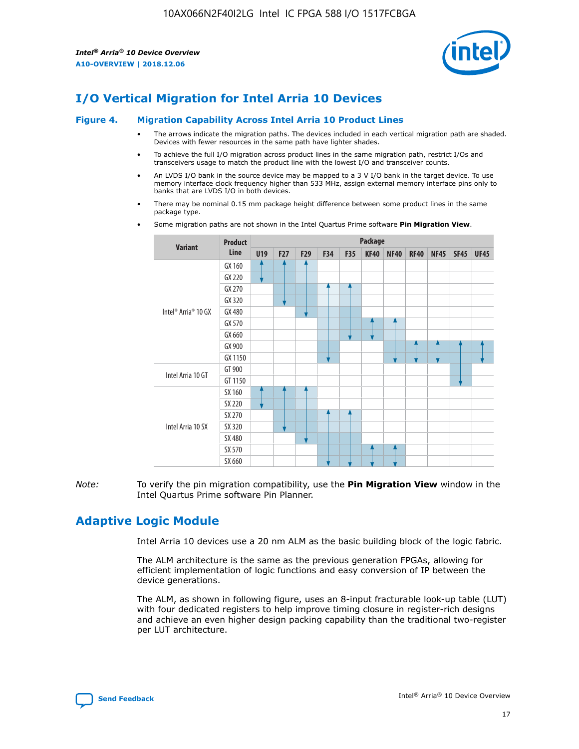

## **I/O Vertical Migration for Intel Arria 10 Devices**

#### **Figure 4. Migration Capability Across Intel Arria 10 Product Lines**

- The arrows indicate the migration paths. The devices included in each vertical migration path are shaded. Devices with fewer resources in the same path have lighter shades.
- To achieve the full I/O migration across product lines in the same migration path, restrict I/Os and transceivers usage to match the product line with the lowest I/O and transceiver counts.
- An LVDS I/O bank in the source device may be mapped to a 3 V I/O bank in the target device. To use memory interface clock frequency higher than 533 MHz, assign external memory interface pins only to banks that are LVDS I/O in both devices.
- There may be nominal 0.15 mm package height difference between some product lines in the same package type.
	- **Variant Product Line Package U19 F27 F29 F34 F35 KF40 NF40 RF40 NF45 SF45 UF45** Intel® Arria® 10 GX GX 160 GX 220 GX 270 GX 320 GX 480 GX 570 GX 660 GX 900 GX 1150 Intel Arria 10 GT GT 900 GT 1150 Intel Arria 10 SX SX 160 SX 220 SX 270 SX 320 SX 480 SX 570 SX 660
- Some migration paths are not shown in the Intel Quartus Prime software **Pin Migration View**.

*Note:* To verify the pin migration compatibility, use the **Pin Migration View** window in the Intel Quartus Prime software Pin Planner.

## **Adaptive Logic Module**

Intel Arria 10 devices use a 20 nm ALM as the basic building block of the logic fabric.

The ALM architecture is the same as the previous generation FPGAs, allowing for efficient implementation of logic functions and easy conversion of IP between the device generations.

The ALM, as shown in following figure, uses an 8-input fracturable look-up table (LUT) with four dedicated registers to help improve timing closure in register-rich designs and achieve an even higher design packing capability than the traditional two-register per LUT architecture.

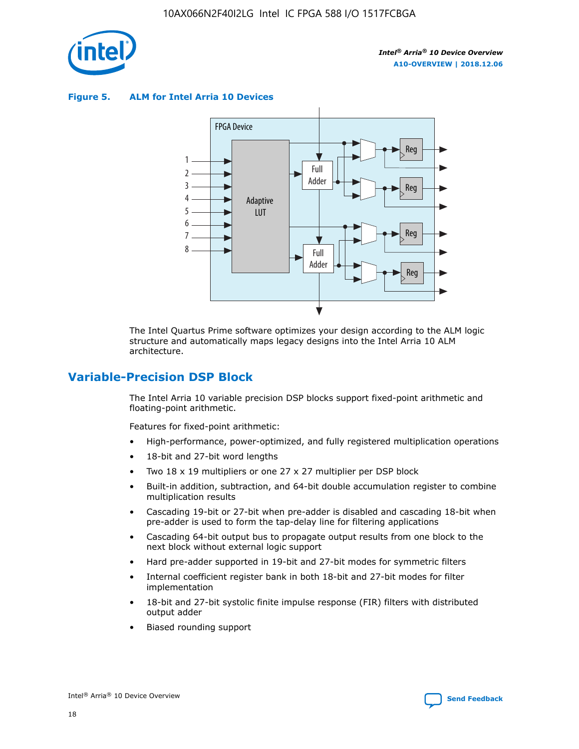

**Figure 5. ALM for Intel Arria 10 Devices**



The Intel Quartus Prime software optimizes your design according to the ALM logic structure and automatically maps legacy designs into the Intel Arria 10 ALM architecture.

## **Variable-Precision DSP Block**

The Intel Arria 10 variable precision DSP blocks support fixed-point arithmetic and floating-point arithmetic.

Features for fixed-point arithmetic:

- High-performance, power-optimized, and fully registered multiplication operations
- 18-bit and 27-bit word lengths
- Two 18 x 19 multipliers or one 27 x 27 multiplier per DSP block
- Built-in addition, subtraction, and 64-bit double accumulation register to combine multiplication results
- Cascading 19-bit or 27-bit when pre-adder is disabled and cascading 18-bit when pre-adder is used to form the tap-delay line for filtering applications
- Cascading 64-bit output bus to propagate output results from one block to the next block without external logic support
- Hard pre-adder supported in 19-bit and 27-bit modes for symmetric filters
- Internal coefficient register bank in both 18-bit and 27-bit modes for filter implementation
- 18-bit and 27-bit systolic finite impulse response (FIR) filters with distributed output adder
- Biased rounding support

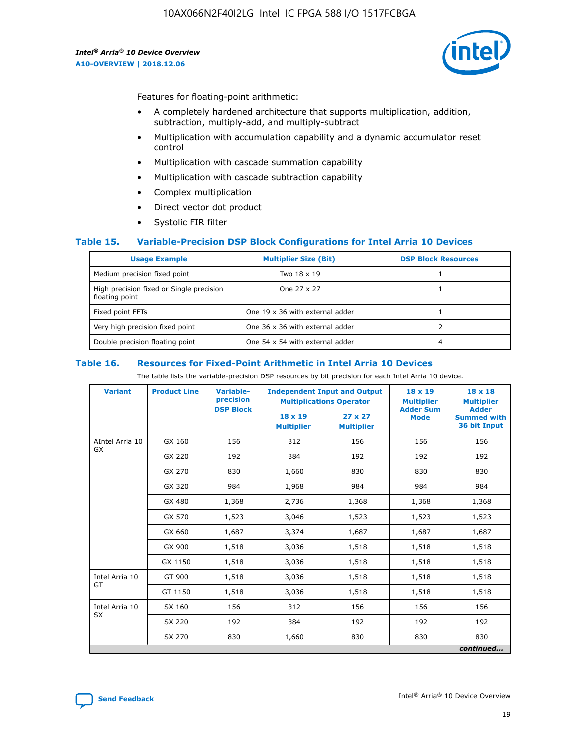

Features for floating-point arithmetic:

- A completely hardened architecture that supports multiplication, addition, subtraction, multiply-add, and multiply-subtract
- Multiplication with accumulation capability and a dynamic accumulator reset control
- Multiplication with cascade summation capability
- Multiplication with cascade subtraction capability
- Complex multiplication
- Direct vector dot product
- Systolic FIR filter

### **Table 15. Variable-Precision DSP Block Configurations for Intel Arria 10 Devices**

| <b>Usage Example</b>                                       | <b>Multiplier Size (Bit)</b>    | <b>DSP Block Resources</b> |
|------------------------------------------------------------|---------------------------------|----------------------------|
| Medium precision fixed point                               | Two 18 x 19                     |                            |
| High precision fixed or Single precision<br>floating point | One 27 x 27                     |                            |
| Fixed point FFTs                                           | One 19 x 36 with external adder |                            |
| Very high precision fixed point                            | One 36 x 36 with external adder |                            |
| Double precision floating point                            | One 54 x 54 with external adder | 4                          |

#### **Table 16. Resources for Fixed-Point Arithmetic in Intel Arria 10 Devices**

The table lists the variable-precision DSP resources by bit precision for each Intel Arria 10 device.

| <b>Variant</b>  | <b>Product Line</b> | <b>Variable-</b><br>precision<br><b>DSP Block</b> | <b>Independent Input and Output</b><br><b>Multiplications Operator</b> |                                     | 18 x 19<br><b>Multiplier</b><br><b>Adder Sum</b> | $18 \times 18$<br><b>Multiplier</b><br><b>Adder</b> |
|-----------------|---------------------|---------------------------------------------------|------------------------------------------------------------------------|-------------------------------------|--------------------------------------------------|-----------------------------------------------------|
|                 |                     |                                                   | 18 x 19<br><b>Multiplier</b>                                           | $27 \times 27$<br><b>Multiplier</b> | <b>Mode</b>                                      | <b>Summed with</b><br>36 bit Input                  |
| AIntel Arria 10 | GX 160              | 156                                               | 312                                                                    | 156                                 | 156                                              | 156                                                 |
| GX              | GX 220              | 192                                               | 384                                                                    | 192                                 | 192                                              | 192                                                 |
|                 | GX 270              | 830                                               | 1,660                                                                  | 830                                 | 830                                              | 830                                                 |
|                 | GX 320              | 984                                               | 1,968                                                                  | 984                                 | 984                                              | 984                                                 |
|                 | GX 480              | 1,368                                             | 2,736                                                                  | 1,368                               | 1,368                                            | 1,368                                               |
|                 | GX 570              | 1,523                                             | 3,046                                                                  | 1,523                               | 1,523                                            | 1,523                                               |
|                 | GX 660              | 1,687                                             | 3,374                                                                  | 1,687                               | 1,687                                            | 1,687                                               |
|                 | GX 900              | 1,518                                             | 3,036                                                                  | 1,518                               | 1,518                                            | 1,518                                               |
|                 | GX 1150             | 1,518                                             | 3,036                                                                  | 1,518                               | 1,518                                            | 1,518                                               |
| Intel Arria 10  | GT 900              | 1,518                                             | 3,036                                                                  | 1,518                               | 1,518                                            | 1,518                                               |
| GT              | GT 1150             | 1,518                                             | 3,036                                                                  | 1,518                               | 1,518                                            | 1,518                                               |
| Intel Arria 10  | SX 160              | 156                                               | 312                                                                    | 156                                 | 156                                              | 156                                                 |
| <b>SX</b>       | SX 220              | 192                                               | 384                                                                    | 192                                 | 192                                              | 192                                                 |
|                 | SX 270              | 830                                               | 1,660                                                                  | 830                                 | 830                                              | 830                                                 |
|                 |                     |                                                   |                                                                        |                                     |                                                  | continued                                           |

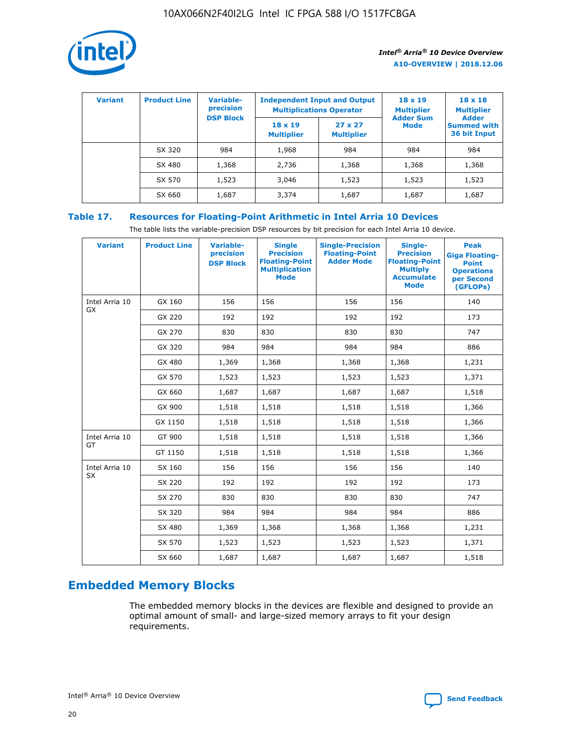

| <b>Variant</b> | <b>Product Line</b> | <b>Variable-</b><br>precision<br><b>DSP Block</b> | <b>Independent Input and Output</b><br><b>Multiplications Operator</b> |                                     | $18 \times 19$<br><b>Multiplier</b><br><b>Adder Sum</b> | $18 \times 18$<br><b>Multiplier</b><br><b>Adder</b> |  |
|----------------|---------------------|---------------------------------------------------|------------------------------------------------------------------------|-------------------------------------|---------------------------------------------------------|-----------------------------------------------------|--|
|                |                     |                                                   | $18 \times 19$<br><b>Multiplier</b>                                    | $27 \times 27$<br><b>Multiplier</b> | <b>Mode</b>                                             | <b>Summed with</b><br>36 bit Input                  |  |
|                | SX 320              | 984                                               | 1,968                                                                  | 984                                 | 984                                                     | 984                                                 |  |
|                | SX 480              | 1,368                                             | 2,736                                                                  | 1,368                               | 1,368                                                   | 1,368                                               |  |
|                | SX 570              | 1,523                                             | 3,046                                                                  | 1,523                               | 1,523                                                   | 1,523                                               |  |
|                | SX 660              | 1,687                                             | 3,374                                                                  | 1,687                               | 1,687                                                   | 1,687                                               |  |

## **Table 17. Resources for Floating-Point Arithmetic in Intel Arria 10 Devices**

The table lists the variable-precision DSP resources by bit precision for each Intel Arria 10 device.

| <b>Variant</b> | <b>Product Line</b> | <b>Variable-</b><br>precision<br><b>DSP Block</b> | <b>Single</b><br><b>Precision</b><br><b>Floating-Point</b><br><b>Multiplication</b><br><b>Mode</b> | <b>Single-Precision</b><br><b>Floating-Point</b><br><b>Adder Mode</b> | Single-<br><b>Precision</b><br><b>Floating-Point</b><br><b>Multiply</b><br><b>Accumulate</b><br><b>Mode</b> | <b>Peak</b><br><b>Giga Floating-</b><br><b>Point</b><br><b>Operations</b><br>per Second<br>(GFLOPs) |
|----------------|---------------------|---------------------------------------------------|----------------------------------------------------------------------------------------------------|-----------------------------------------------------------------------|-------------------------------------------------------------------------------------------------------------|-----------------------------------------------------------------------------------------------------|
| Intel Arria 10 | GX 160              | 156                                               | 156                                                                                                | 156                                                                   | 156                                                                                                         | 140                                                                                                 |
| GX             | GX 220              | 192                                               | 192                                                                                                | 192                                                                   | 192                                                                                                         | 173                                                                                                 |
|                | GX 270              | 830                                               | 830                                                                                                | 830                                                                   | 830                                                                                                         | 747                                                                                                 |
|                | GX 320              | 984                                               | 984                                                                                                | 984                                                                   | 984                                                                                                         | 886                                                                                                 |
|                | GX 480              | 1,369                                             | 1,368                                                                                              | 1,368                                                                 | 1,368                                                                                                       | 1,231                                                                                               |
|                | GX 570              | 1,523                                             | 1,523                                                                                              | 1,523                                                                 | 1,523                                                                                                       | 1,371                                                                                               |
|                | GX 660              | 1,687                                             | 1,687                                                                                              | 1,687                                                                 | 1,687                                                                                                       | 1,518                                                                                               |
|                | GX 900              | 1,518                                             | 1,518                                                                                              | 1,518                                                                 | 1,518                                                                                                       | 1,366                                                                                               |
|                | GX 1150             | 1,518                                             | 1,518                                                                                              | 1,518                                                                 | 1,518                                                                                                       | 1,366                                                                                               |
| Intel Arria 10 | GT 900              | 1,518                                             | 1,518                                                                                              | 1,518                                                                 | 1,518                                                                                                       | 1,366                                                                                               |
| GT             | GT 1150             | 1,518                                             | 1,518                                                                                              | 1,518                                                                 | 1,518                                                                                                       | 1,366                                                                                               |
| Intel Arria 10 | SX 160              | 156                                               | 156                                                                                                | 156                                                                   | 156                                                                                                         | 140                                                                                                 |
| <b>SX</b>      | SX 220              | 192                                               | 192                                                                                                | 192                                                                   | 192                                                                                                         | 173                                                                                                 |
|                | SX 270              | 830                                               | 830                                                                                                | 830                                                                   | 830                                                                                                         | 747                                                                                                 |
|                | SX 320              | 984                                               | 984                                                                                                | 984                                                                   | 984                                                                                                         | 886                                                                                                 |
|                | SX 480              | 1,369                                             | 1,368                                                                                              | 1,368                                                                 | 1,368                                                                                                       | 1,231                                                                                               |
|                | SX 570              | 1,523                                             | 1,523                                                                                              | 1,523                                                                 | 1,523                                                                                                       | 1,371                                                                                               |
|                | SX 660              | 1,687                                             | 1,687                                                                                              | 1,687                                                                 | 1,687                                                                                                       | 1,518                                                                                               |

# **Embedded Memory Blocks**

The embedded memory blocks in the devices are flexible and designed to provide an optimal amount of small- and large-sized memory arrays to fit your design requirements.

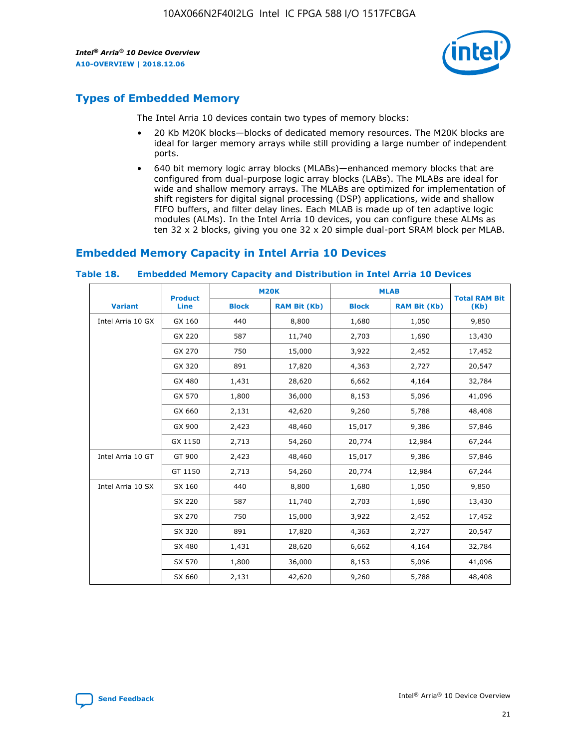

## **Types of Embedded Memory**

The Intel Arria 10 devices contain two types of memory blocks:

- 20 Kb M20K blocks—blocks of dedicated memory resources. The M20K blocks are ideal for larger memory arrays while still providing a large number of independent ports.
- 640 bit memory logic array blocks (MLABs)—enhanced memory blocks that are configured from dual-purpose logic array blocks (LABs). The MLABs are ideal for wide and shallow memory arrays. The MLABs are optimized for implementation of shift registers for digital signal processing (DSP) applications, wide and shallow FIFO buffers, and filter delay lines. Each MLAB is made up of ten adaptive logic modules (ALMs). In the Intel Arria 10 devices, you can configure these ALMs as ten 32 x 2 blocks, giving you one 32 x 20 simple dual-port SRAM block per MLAB.

## **Embedded Memory Capacity in Intel Arria 10 Devices**

|                   | <b>Product</b> |              | <b>M20K</b>         | <b>MLAB</b>  |                     | <b>Total RAM Bit</b> |
|-------------------|----------------|--------------|---------------------|--------------|---------------------|----------------------|
| <b>Variant</b>    | Line           | <b>Block</b> | <b>RAM Bit (Kb)</b> | <b>Block</b> | <b>RAM Bit (Kb)</b> | (Kb)                 |
| Intel Arria 10 GX | GX 160         | 440          | 8,800               | 1,680        | 1,050               | 9,850                |
|                   | GX 220         | 587          | 11,740              | 2,703        | 1,690               | 13,430               |
|                   | GX 270         | 750          | 15,000              | 3,922        | 2,452               | 17,452               |
|                   | GX 320         | 891          | 17,820              | 4,363        | 2,727               | 20,547               |
|                   | GX 480         | 1,431        | 28,620              | 6,662        | 4,164               | 32,784               |
|                   | GX 570         | 1,800        | 36,000              | 8,153        | 5,096               | 41,096               |
|                   | GX 660         | 2,131        | 42,620              | 9,260        | 5,788               | 48,408               |
|                   | GX 900         | 2,423        | 48,460              | 15,017       | 9,386               | 57,846               |
|                   | GX 1150        | 2,713        | 54,260              | 20,774       | 12,984              | 67,244               |
| Intel Arria 10 GT | GT 900         | 2,423        | 48,460              | 15,017       | 9,386               | 57,846               |
|                   | GT 1150        | 2,713        | 54,260              | 20,774       | 12,984              | 67,244               |
| Intel Arria 10 SX | SX 160         | 440          | 8,800               | 1,680        | 1,050               | 9,850                |
|                   | SX 220         | 587          | 11,740              | 2,703        | 1,690               | 13,430               |
|                   | SX 270         | 750          | 15,000              | 3,922        | 2,452               | 17,452               |
|                   | SX 320         | 891          | 17,820              | 4,363        | 2,727               | 20,547               |
|                   | SX 480         | 1,431        | 28,620              | 6,662        | 4,164               | 32,784               |
|                   | SX 570         | 1,800        | 36,000              | 8,153        | 5,096               | 41,096               |
|                   | SX 660         | 2,131        | 42,620              | 9,260        | 5,788               | 48,408               |

#### **Table 18. Embedded Memory Capacity and Distribution in Intel Arria 10 Devices**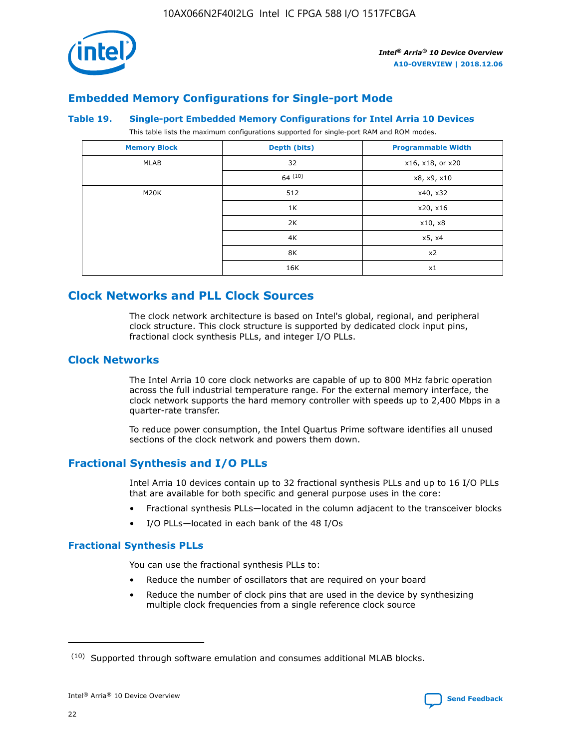

## **Embedded Memory Configurations for Single-port Mode**

#### **Table 19. Single-port Embedded Memory Configurations for Intel Arria 10 Devices**

This table lists the maximum configurations supported for single-port RAM and ROM modes.

| <b>Memory Block</b> | Depth (bits) | <b>Programmable Width</b> |
|---------------------|--------------|---------------------------|
| MLAB                | 32           | x16, x18, or x20          |
|                     | 64(10)       | x8, x9, x10               |
| M20K                | 512          | x40, x32                  |
|                     | 1K           | x20, x16                  |
|                     | 2K           | x10, x8                   |
|                     | 4K           | x5, x4                    |
|                     | 8K           | x2                        |
|                     | 16K          | x1                        |

## **Clock Networks and PLL Clock Sources**

The clock network architecture is based on Intel's global, regional, and peripheral clock structure. This clock structure is supported by dedicated clock input pins, fractional clock synthesis PLLs, and integer I/O PLLs.

## **Clock Networks**

The Intel Arria 10 core clock networks are capable of up to 800 MHz fabric operation across the full industrial temperature range. For the external memory interface, the clock network supports the hard memory controller with speeds up to 2,400 Mbps in a quarter-rate transfer.

To reduce power consumption, the Intel Quartus Prime software identifies all unused sections of the clock network and powers them down.

## **Fractional Synthesis and I/O PLLs**

Intel Arria 10 devices contain up to 32 fractional synthesis PLLs and up to 16 I/O PLLs that are available for both specific and general purpose uses in the core:

- Fractional synthesis PLLs—located in the column adjacent to the transceiver blocks
- I/O PLLs—located in each bank of the 48 I/Os

### **Fractional Synthesis PLLs**

You can use the fractional synthesis PLLs to:

- Reduce the number of oscillators that are required on your board
- Reduce the number of clock pins that are used in the device by synthesizing multiple clock frequencies from a single reference clock source

<sup>(10)</sup> Supported through software emulation and consumes additional MLAB blocks.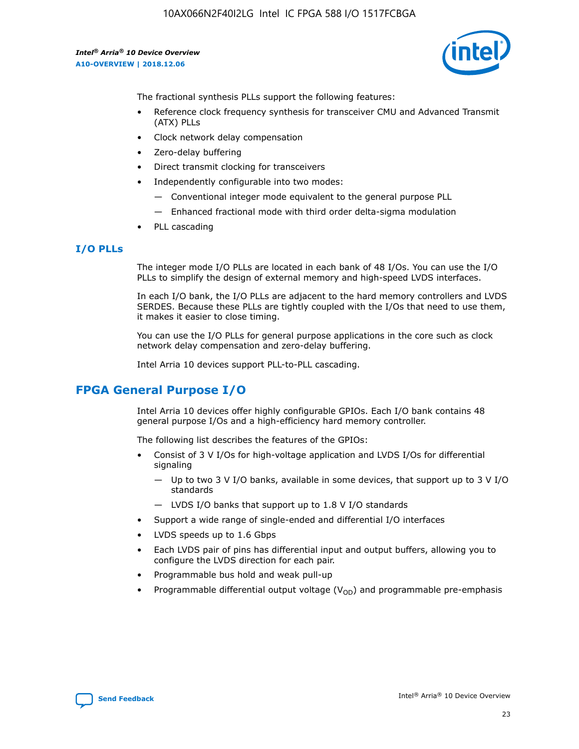

The fractional synthesis PLLs support the following features:

- Reference clock frequency synthesis for transceiver CMU and Advanced Transmit (ATX) PLLs
- Clock network delay compensation
- Zero-delay buffering
- Direct transmit clocking for transceivers
- Independently configurable into two modes:
	- Conventional integer mode equivalent to the general purpose PLL
	- Enhanced fractional mode with third order delta-sigma modulation
- PLL cascading

### **I/O PLLs**

The integer mode I/O PLLs are located in each bank of 48 I/Os. You can use the I/O PLLs to simplify the design of external memory and high-speed LVDS interfaces.

In each I/O bank, the I/O PLLs are adjacent to the hard memory controllers and LVDS SERDES. Because these PLLs are tightly coupled with the I/Os that need to use them, it makes it easier to close timing.

You can use the I/O PLLs for general purpose applications in the core such as clock network delay compensation and zero-delay buffering.

Intel Arria 10 devices support PLL-to-PLL cascading.

## **FPGA General Purpose I/O**

Intel Arria 10 devices offer highly configurable GPIOs. Each I/O bank contains 48 general purpose I/Os and a high-efficiency hard memory controller.

The following list describes the features of the GPIOs:

- Consist of 3 V I/Os for high-voltage application and LVDS I/Os for differential signaling
	- Up to two 3 V I/O banks, available in some devices, that support up to 3 V I/O standards
	- LVDS I/O banks that support up to 1.8 V I/O standards
- Support a wide range of single-ended and differential I/O interfaces
- LVDS speeds up to 1.6 Gbps
- Each LVDS pair of pins has differential input and output buffers, allowing you to configure the LVDS direction for each pair.
- Programmable bus hold and weak pull-up
- Programmable differential output voltage  $(V_{OD})$  and programmable pre-emphasis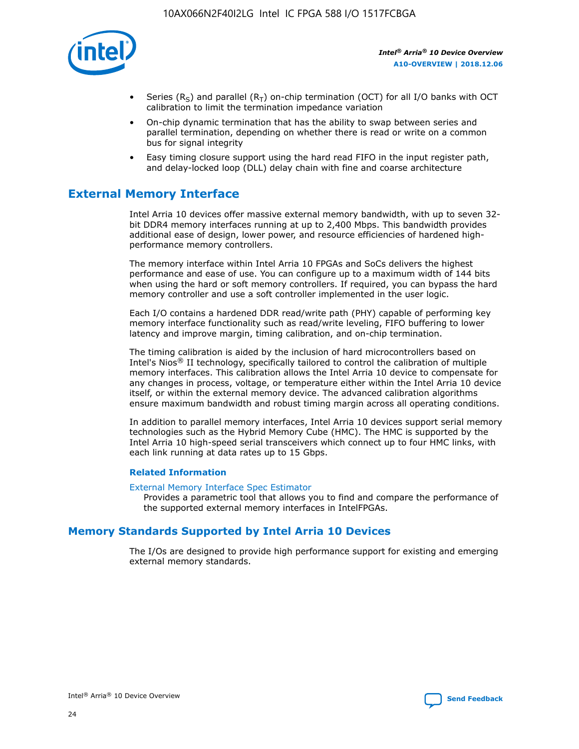

- Series (R<sub>S</sub>) and parallel (R<sub>T</sub>) on-chip termination (OCT) for all I/O banks with OCT calibration to limit the termination impedance variation
- On-chip dynamic termination that has the ability to swap between series and parallel termination, depending on whether there is read or write on a common bus for signal integrity
- Easy timing closure support using the hard read FIFO in the input register path, and delay-locked loop (DLL) delay chain with fine and coarse architecture

## **External Memory Interface**

Intel Arria 10 devices offer massive external memory bandwidth, with up to seven 32 bit DDR4 memory interfaces running at up to 2,400 Mbps. This bandwidth provides additional ease of design, lower power, and resource efficiencies of hardened highperformance memory controllers.

The memory interface within Intel Arria 10 FPGAs and SoCs delivers the highest performance and ease of use. You can configure up to a maximum width of 144 bits when using the hard or soft memory controllers. If required, you can bypass the hard memory controller and use a soft controller implemented in the user logic.

Each I/O contains a hardened DDR read/write path (PHY) capable of performing key memory interface functionality such as read/write leveling, FIFO buffering to lower latency and improve margin, timing calibration, and on-chip termination.

The timing calibration is aided by the inclusion of hard microcontrollers based on Intel's Nios® II technology, specifically tailored to control the calibration of multiple memory interfaces. This calibration allows the Intel Arria 10 device to compensate for any changes in process, voltage, or temperature either within the Intel Arria 10 device itself, or within the external memory device. The advanced calibration algorithms ensure maximum bandwidth and robust timing margin across all operating conditions.

In addition to parallel memory interfaces, Intel Arria 10 devices support serial memory technologies such as the Hybrid Memory Cube (HMC). The HMC is supported by the Intel Arria 10 high-speed serial transceivers which connect up to four HMC links, with each link running at data rates up to 15 Gbps.

### **Related Information**

#### [External Memory Interface Spec Estimator](http://www.altera.com/technology/memory/estimator/mem-emif-index.html)

Provides a parametric tool that allows you to find and compare the performance of the supported external memory interfaces in IntelFPGAs.

## **Memory Standards Supported by Intel Arria 10 Devices**

The I/Os are designed to provide high performance support for existing and emerging external memory standards.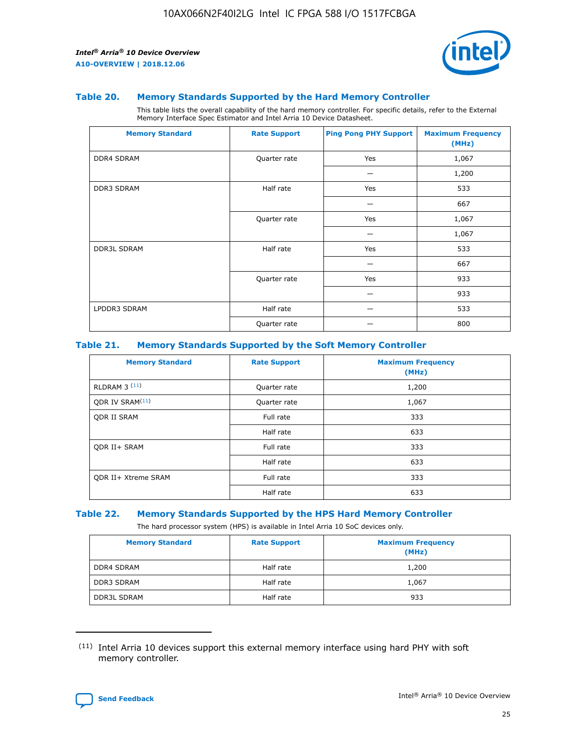

#### **Table 20. Memory Standards Supported by the Hard Memory Controller**

This table lists the overall capability of the hard memory controller. For specific details, refer to the External Memory Interface Spec Estimator and Intel Arria 10 Device Datasheet.

| <b>Memory Standard</b> | <b>Rate Support</b> | <b>Ping Pong PHY Support</b> | <b>Maximum Frequency</b><br>(MHz) |
|------------------------|---------------------|------------------------------|-----------------------------------|
| <b>DDR4 SDRAM</b>      | Quarter rate        | Yes                          | 1,067                             |
|                        |                     |                              | 1,200                             |
| DDR3 SDRAM             | Half rate           | Yes                          | 533                               |
|                        |                     |                              | 667                               |
|                        | Quarter rate        | Yes                          | 1,067                             |
|                        |                     |                              | 1,067                             |
| <b>DDR3L SDRAM</b>     | Half rate           | Yes                          | 533                               |
|                        |                     |                              | 667                               |
|                        | Quarter rate        | Yes                          | 933                               |
|                        |                     |                              | 933                               |
| LPDDR3 SDRAM           | Half rate           |                              | 533                               |
|                        | Quarter rate        |                              | 800                               |

#### **Table 21. Memory Standards Supported by the Soft Memory Controller**

| <b>Memory Standard</b>      | <b>Rate Support</b> | <b>Maximum Frequency</b><br>(MHz) |
|-----------------------------|---------------------|-----------------------------------|
| <b>RLDRAM 3 (11)</b>        | Quarter rate        | 1,200                             |
| ODR IV SRAM <sup>(11)</sup> | Quarter rate        | 1,067                             |
| <b>ODR II SRAM</b>          | Full rate           | 333                               |
|                             | Half rate           | 633                               |
| <b>ODR II+ SRAM</b>         | Full rate           | 333                               |
|                             | Half rate           | 633                               |
| <b>ODR II+ Xtreme SRAM</b>  | Full rate           | 333                               |
|                             | Half rate           | 633                               |

#### **Table 22. Memory Standards Supported by the HPS Hard Memory Controller**

The hard processor system (HPS) is available in Intel Arria 10 SoC devices only.

| <b>Memory Standard</b> | <b>Rate Support</b> | <b>Maximum Frequency</b><br>(MHz) |
|------------------------|---------------------|-----------------------------------|
| <b>DDR4 SDRAM</b>      | Half rate           | 1,200                             |
| <b>DDR3 SDRAM</b>      | Half rate           | 1,067                             |
| <b>DDR3L SDRAM</b>     | Half rate           | 933                               |

<sup>(11)</sup> Intel Arria 10 devices support this external memory interface using hard PHY with soft memory controller.

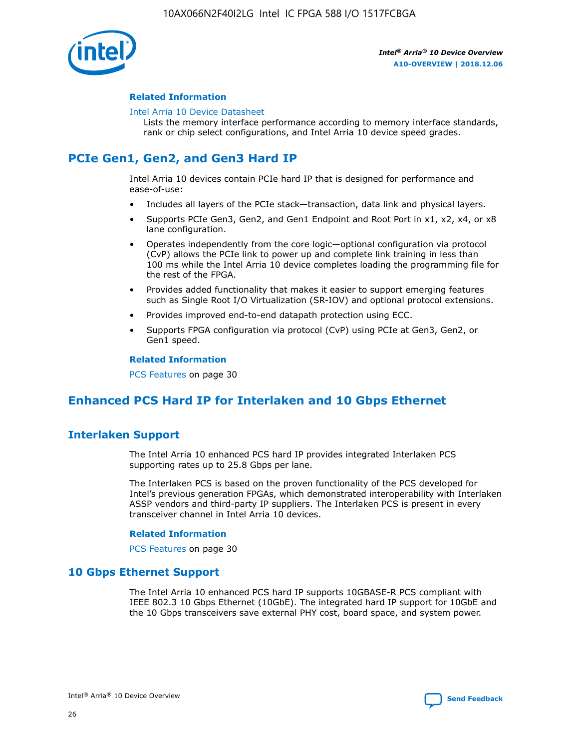

### **Related Information**

#### [Intel Arria 10 Device Datasheet](https://www.intel.com/content/www/us/en/programmable/documentation/mcn1413182292568.html#mcn1413182153340)

Lists the memory interface performance according to memory interface standards, rank or chip select configurations, and Intel Arria 10 device speed grades.

## **PCIe Gen1, Gen2, and Gen3 Hard IP**

Intel Arria 10 devices contain PCIe hard IP that is designed for performance and ease-of-use:

- Includes all layers of the PCIe stack—transaction, data link and physical layers.
- Supports PCIe Gen3, Gen2, and Gen1 Endpoint and Root Port in x1, x2, x4, or x8 lane configuration.
- Operates independently from the core logic—optional configuration via protocol (CvP) allows the PCIe link to power up and complete link training in less than 100 ms while the Intel Arria 10 device completes loading the programming file for the rest of the FPGA.
- Provides added functionality that makes it easier to support emerging features such as Single Root I/O Virtualization (SR-IOV) and optional protocol extensions.
- Provides improved end-to-end datapath protection using ECC.
- Supports FPGA configuration via protocol (CvP) using PCIe at Gen3, Gen2, or Gen1 speed.

#### **Related Information**

PCS Features on page 30

## **Enhanced PCS Hard IP for Interlaken and 10 Gbps Ethernet**

## **Interlaken Support**

The Intel Arria 10 enhanced PCS hard IP provides integrated Interlaken PCS supporting rates up to 25.8 Gbps per lane.

The Interlaken PCS is based on the proven functionality of the PCS developed for Intel's previous generation FPGAs, which demonstrated interoperability with Interlaken ASSP vendors and third-party IP suppliers. The Interlaken PCS is present in every transceiver channel in Intel Arria 10 devices.

### **Related Information**

PCS Features on page 30

## **10 Gbps Ethernet Support**

The Intel Arria 10 enhanced PCS hard IP supports 10GBASE-R PCS compliant with IEEE 802.3 10 Gbps Ethernet (10GbE). The integrated hard IP support for 10GbE and the 10 Gbps transceivers save external PHY cost, board space, and system power.

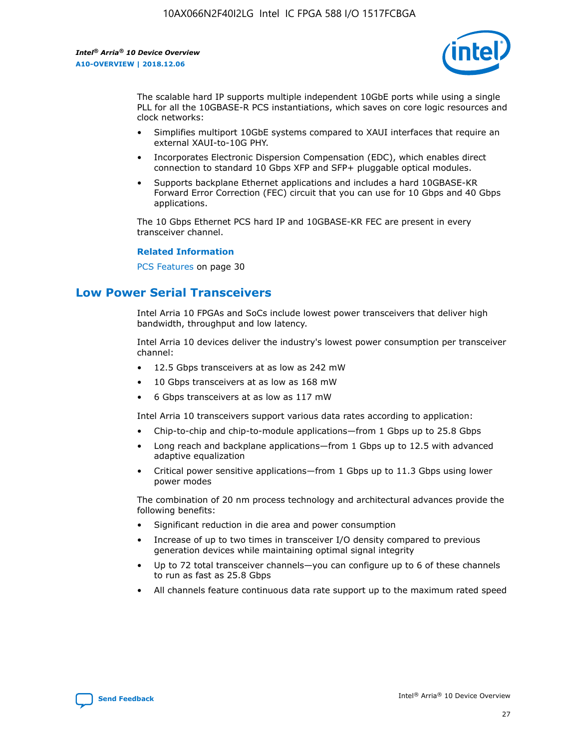

The scalable hard IP supports multiple independent 10GbE ports while using a single PLL for all the 10GBASE-R PCS instantiations, which saves on core logic resources and clock networks:

- Simplifies multiport 10GbE systems compared to XAUI interfaces that require an external XAUI-to-10G PHY.
- Incorporates Electronic Dispersion Compensation (EDC), which enables direct connection to standard 10 Gbps XFP and SFP+ pluggable optical modules.
- Supports backplane Ethernet applications and includes a hard 10GBASE-KR Forward Error Correction (FEC) circuit that you can use for 10 Gbps and 40 Gbps applications.

The 10 Gbps Ethernet PCS hard IP and 10GBASE-KR FEC are present in every transceiver channel.

#### **Related Information**

PCS Features on page 30

## **Low Power Serial Transceivers**

Intel Arria 10 FPGAs and SoCs include lowest power transceivers that deliver high bandwidth, throughput and low latency.

Intel Arria 10 devices deliver the industry's lowest power consumption per transceiver channel:

- 12.5 Gbps transceivers at as low as 242 mW
- 10 Gbps transceivers at as low as 168 mW
- 6 Gbps transceivers at as low as 117 mW

Intel Arria 10 transceivers support various data rates according to application:

- Chip-to-chip and chip-to-module applications—from 1 Gbps up to 25.8 Gbps
- Long reach and backplane applications—from 1 Gbps up to 12.5 with advanced adaptive equalization
- Critical power sensitive applications—from 1 Gbps up to 11.3 Gbps using lower power modes

The combination of 20 nm process technology and architectural advances provide the following benefits:

- Significant reduction in die area and power consumption
- Increase of up to two times in transceiver I/O density compared to previous generation devices while maintaining optimal signal integrity
- Up to 72 total transceiver channels—you can configure up to 6 of these channels to run as fast as 25.8 Gbps
- All channels feature continuous data rate support up to the maximum rated speed

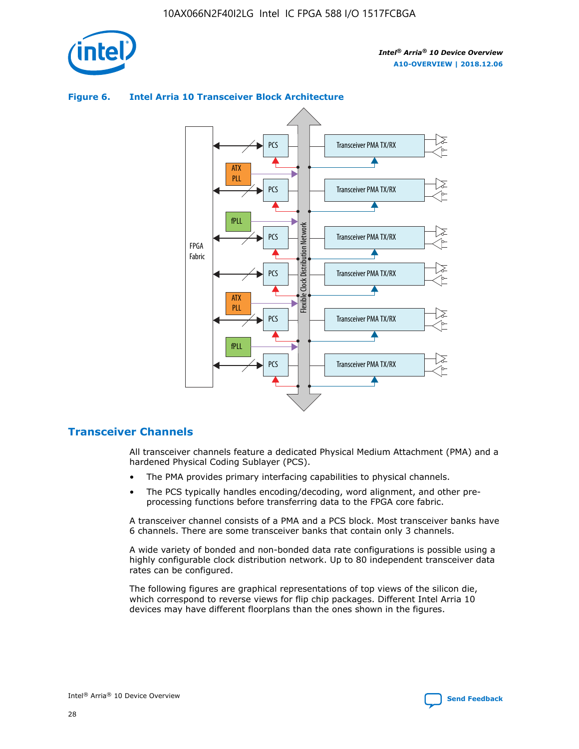

## Transceiver PMA TX/RX PCS ATX PLL Transceiver PMA TX/RX PCS fPLL Network Flexible Clock Distribution Network PCS Transceiver PMA TX/RX FPGA **Clock Distribution** Fabric PCS Transceiver PMA TX/RX ATX Flexible PLL PCS Transceiver PMA TX/RX ▲ fPLL Transceiver PMA TX/RX PCS 4

## **Figure 6. Intel Arria 10 Transceiver Block Architecture**

## **Transceiver Channels**

All transceiver channels feature a dedicated Physical Medium Attachment (PMA) and a hardened Physical Coding Sublayer (PCS).

- The PMA provides primary interfacing capabilities to physical channels.
- The PCS typically handles encoding/decoding, word alignment, and other preprocessing functions before transferring data to the FPGA core fabric.

A transceiver channel consists of a PMA and a PCS block. Most transceiver banks have 6 channels. There are some transceiver banks that contain only 3 channels.

A wide variety of bonded and non-bonded data rate configurations is possible using a highly configurable clock distribution network. Up to 80 independent transceiver data rates can be configured.

The following figures are graphical representations of top views of the silicon die, which correspond to reverse views for flip chip packages. Different Intel Arria 10 devices may have different floorplans than the ones shown in the figures.

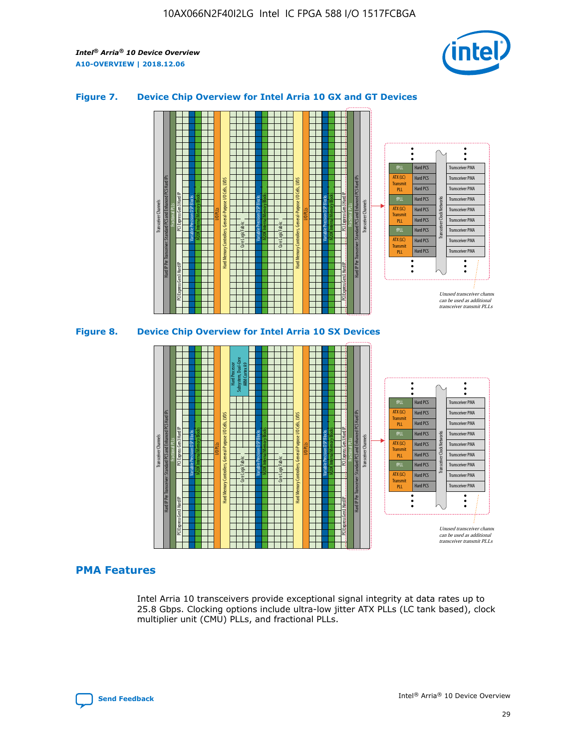

## **Figure 7. Device Chip Overview for Intel Arria 10 GX and GT Devices**





## **PMA Features**

Intel Arria 10 transceivers provide exceptional signal integrity at data rates up to 25.8 Gbps. Clocking options include ultra-low jitter ATX PLLs (LC tank based), clock multiplier unit (CMU) PLLs, and fractional PLLs.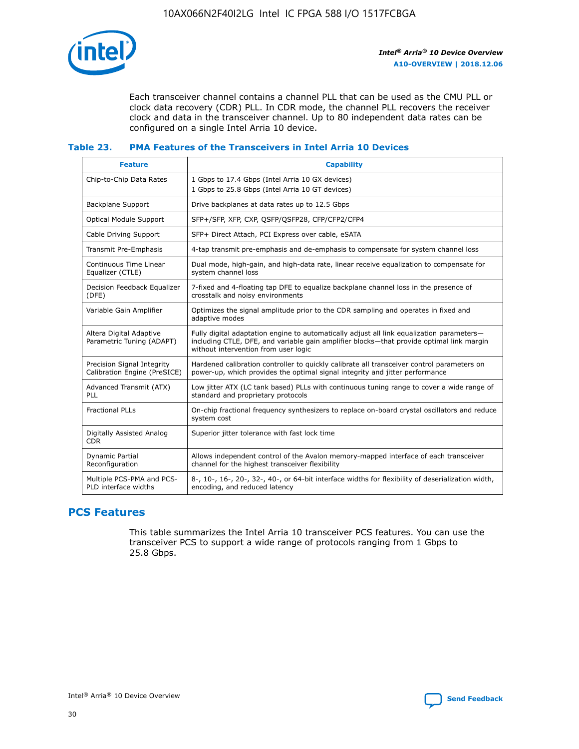

Each transceiver channel contains a channel PLL that can be used as the CMU PLL or clock data recovery (CDR) PLL. In CDR mode, the channel PLL recovers the receiver clock and data in the transceiver channel. Up to 80 independent data rates can be configured on a single Intel Arria 10 device.

## **Table 23. PMA Features of the Transceivers in Intel Arria 10 Devices**

| <b>Feature</b>                                             | <b>Capability</b>                                                                                                                                                                                                             |
|------------------------------------------------------------|-------------------------------------------------------------------------------------------------------------------------------------------------------------------------------------------------------------------------------|
| Chip-to-Chip Data Rates                                    | 1 Gbps to 17.4 Gbps (Intel Arria 10 GX devices)<br>1 Gbps to 25.8 Gbps (Intel Arria 10 GT devices)                                                                                                                            |
| Backplane Support                                          | Drive backplanes at data rates up to 12.5 Gbps                                                                                                                                                                                |
| <b>Optical Module Support</b>                              | SFP+/SFP, XFP, CXP, QSFP/QSFP28, CFP/CFP2/CFP4                                                                                                                                                                                |
| Cable Driving Support                                      | SFP+ Direct Attach, PCI Express over cable, eSATA                                                                                                                                                                             |
| Transmit Pre-Emphasis                                      | 4-tap transmit pre-emphasis and de-emphasis to compensate for system channel loss                                                                                                                                             |
| Continuous Time Linear<br>Equalizer (CTLE)                 | Dual mode, high-gain, and high-data rate, linear receive equalization to compensate for<br>system channel loss                                                                                                                |
| Decision Feedback Equalizer<br>(DFE)                       | 7-fixed and 4-floating tap DFE to equalize backplane channel loss in the presence of<br>crosstalk and noisy environments                                                                                                      |
| Variable Gain Amplifier                                    | Optimizes the signal amplitude prior to the CDR sampling and operates in fixed and<br>adaptive modes                                                                                                                          |
| Altera Digital Adaptive<br>Parametric Tuning (ADAPT)       | Fully digital adaptation engine to automatically adjust all link equalization parameters-<br>including CTLE, DFE, and variable gain amplifier blocks—that provide optimal link margin<br>without intervention from user logic |
| Precision Signal Integrity<br>Calibration Engine (PreSICE) | Hardened calibration controller to quickly calibrate all transceiver control parameters on<br>power-up, which provides the optimal signal integrity and jitter performance                                                    |
| Advanced Transmit (ATX)<br><b>PLL</b>                      | Low jitter ATX (LC tank based) PLLs with continuous tuning range to cover a wide range of<br>standard and proprietary protocols                                                                                               |
| <b>Fractional PLLs</b>                                     | On-chip fractional frequency synthesizers to replace on-board crystal oscillators and reduce<br>system cost                                                                                                                   |
| Digitally Assisted Analog<br><b>CDR</b>                    | Superior jitter tolerance with fast lock time                                                                                                                                                                                 |
| Dynamic Partial<br>Reconfiguration                         | Allows independent control of the Avalon memory-mapped interface of each transceiver<br>channel for the highest transceiver flexibility                                                                                       |
| Multiple PCS-PMA and PCS-<br>PLD interface widths          | 8-, 10-, 16-, 20-, 32-, 40-, or 64-bit interface widths for flexibility of deserialization width,<br>encoding, and reduced latency                                                                                            |

## **PCS Features**

This table summarizes the Intel Arria 10 transceiver PCS features. You can use the transceiver PCS to support a wide range of protocols ranging from 1 Gbps to 25.8 Gbps.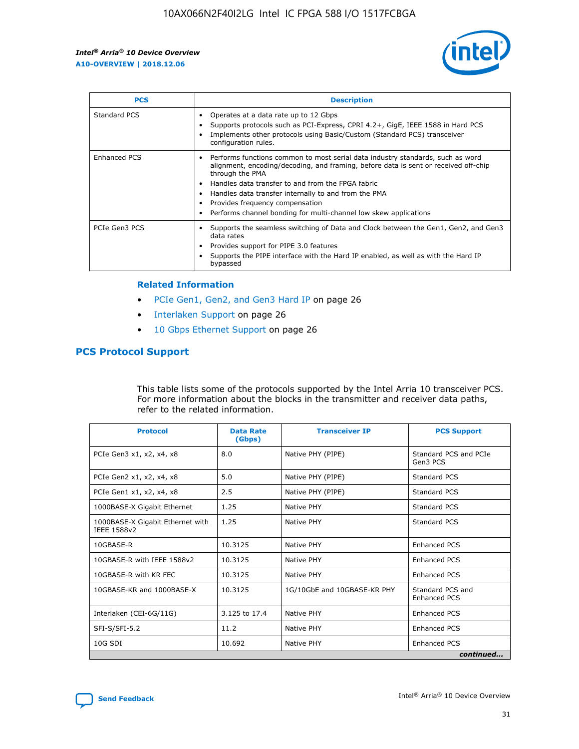

| <b>PCS</b>    | <b>Description</b>                                                                                                                                                                                                                                                                                                                                                                                                          |
|---------------|-----------------------------------------------------------------------------------------------------------------------------------------------------------------------------------------------------------------------------------------------------------------------------------------------------------------------------------------------------------------------------------------------------------------------------|
| Standard PCS  | Operates at a data rate up to 12 Gbps<br>Supports protocols such as PCI-Express, CPRI 4.2+, GigE, IEEE 1588 in Hard PCS<br>Implements other protocols using Basic/Custom (Standard PCS) transceiver<br>configuration rules.                                                                                                                                                                                                 |
| Enhanced PCS  | Performs functions common to most serial data industry standards, such as word<br>$\bullet$<br>alignment, encoding/decoding, and framing, before data is sent or received off-chip<br>through the PMA<br>• Handles data transfer to and from the FPGA fabric<br>Handles data transfer internally to and from the PMA<br>Provides frequency compensation<br>Performs channel bonding for multi-channel low skew applications |
| PCIe Gen3 PCS | Supports the seamless switching of Data and Clock between the Gen1, Gen2, and Gen3<br>data rates<br>Provides support for PIPE 3.0 features<br>Supports the PIPE interface with the Hard IP enabled, as well as with the Hard IP<br>bypassed                                                                                                                                                                                 |

#### **Related Information**

- PCIe Gen1, Gen2, and Gen3 Hard IP on page 26
- Interlaken Support on page 26
- 10 Gbps Ethernet Support on page 26

## **PCS Protocol Support**

This table lists some of the protocols supported by the Intel Arria 10 transceiver PCS. For more information about the blocks in the transmitter and receiver data paths, refer to the related information.

| <b>Protocol</b>                                 | <b>Data Rate</b><br>(Gbps) | <b>Transceiver IP</b>       | <b>PCS Support</b>                      |
|-------------------------------------------------|----------------------------|-----------------------------|-----------------------------------------|
| PCIe Gen3 x1, x2, x4, x8                        | 8.0                        | Native PHY (PIPE)           | Standard PCS and PCIe<br>Gen3 PCS       |
| PCIe Gen2 x1, x2, x4, x8                        | 5.0                        | Native PHY (PIPE)           | <b>Standard PCS</b>                     |
| PCIe Gen1 x1, x2, x4, x8                        | 2.5                        | Native PHY (PIPE)           | Standard PCS                            |
| 1000BASE-X Gigabit Ethernet                     | 1.25                       | Native PHY                  | <b>Standard PCS</b>                     |
| 1000BASE-X Gigabit Ethernet with<br>IEEE 1588v2 | 1.25                       | Native PHY                  | Standard PCS                            |
| 10GBASE-R                                       | 10.3125                    | Native PHY                  | <b>Enhanced PCS</b>                     |
| 10GBASE-R with IEEE 1588v2                      | 10.3125                    | Native PHY                  | <b>Enhanced PCS</b>                     |
| 10GBASE-R with KR FEC                           | 10.3125                    | Native PHY                  | <b>Enhanced PCS</b>                     |
| 10GBASE-KR and 1000BASE-X                       | 10.3125                    | 1G/10GbE and 10GBASE-KR PHY | Standard PCS and<br><b>Enhanced PCS</b> |
| Interlaken (CEI-6G/11G)                         | 3.125 to 17.4              | Native PHY                  | <b>Enhanced PCS</b>                     |
| SFI-S/SFI-5.2                                   | 11.2                       | Native PHY                  | <b>Enhanced PCS</b>                     |
| $10G$ SDI                                       | 10.692                     | Native PHY                  | <b>Enhanced PCS</b>                     |
|                                                 |                            |                             | continued                               |

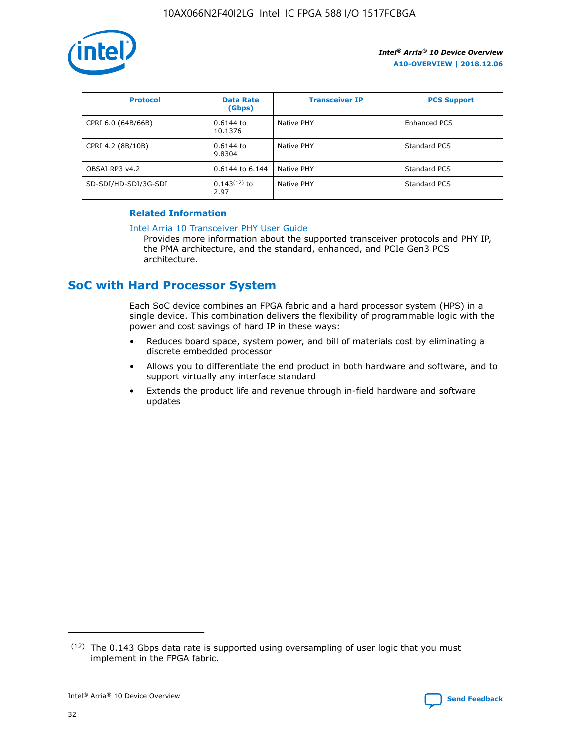

| <b>Protocol</b>      | <b>Data Rate</b><br>(Gbps) | <b>Transceiver IP</b> | <b>PCS Support</b> |
|----------------------|----------------------------|-----------------------|--------------------|
| CPRI 6.0 (64B/66B)   | 0.6144 to<br>10.1376       | Native PHY            | Enhanced PCS       |
| CPRI 4.2 (8B/10B)    | 0.6144 to<br>9.8304        | Native PHY            | Standard PCS       |
| OBSAI RP3 v4.2       | 0.6144 to 6.144            | Native PHY            | Standard PCS       |
| SD-SDI/HD-SDI/3G-SDI | $0.143(12)$ to<br>2.97     | Native PHY            | Standard PCS       |

## **Related Information**

#### [Intel Arria 10 Transceiver PHY User Guide](https://www.intel.com/content/www/us/en/programmable/documentation/nik1398707230472.html#nik1398707091164)

Provides more information about the supported transceiver protocols and PHY IP, the PMA architecture, and the standard, enhanced, and PCIe Gen3 PCS architecture.

## **SoC with Hard Processor System**

Each SoC device combines an FPGA fabric and a hard processor system (HPS) in a single device. This combination delivers the flexibility of programmable logic with the power and cost savings of hard IP in these ways:

- Reduces board space, system power, and bill of materials cost by eliminating a discrete embedded processor
- Allows you to differentiate the end product in both hardware and software, and to support virtually any interface standard
- Extends the product life and revenue through in-field hardware and software updates

 $(12)$  The 0.143 Gbps data rate is supported using oversampling of user logic that you must implement in the FPGA fabric.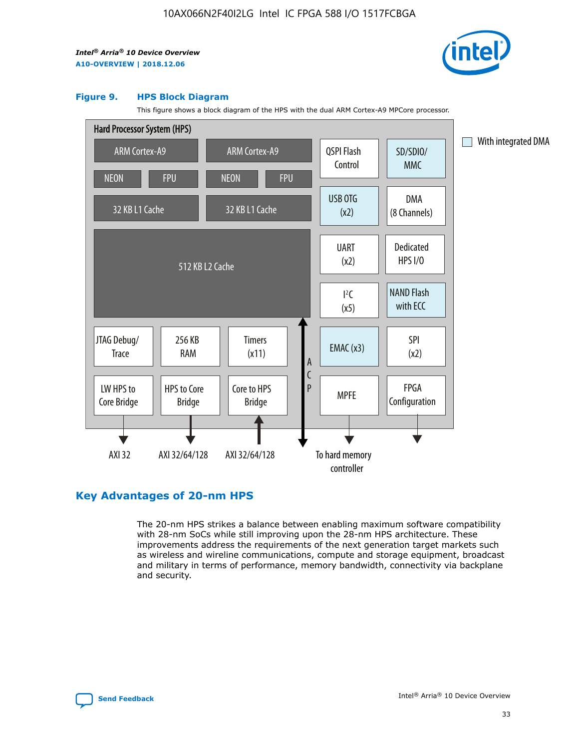

#### **Figure 9. HPS Block Diagram**

This figure shows a block diagram of the HPS with the dual ARM Cortex-A9 MPCore processor.



## **Key Advantages of 20-nm HPS**

The 20-nm HPS strikes a balance between enabling maximum software compatibility with 28-nm SoCs while still improving upon the 28-nm HPS architecture. These improvements address the requirements of the next generation target markets such as wireless and wireline communications, compute and storage equipment, broadcast and military in terms of performance, memory bandwidth, connectivity via backplane and security.

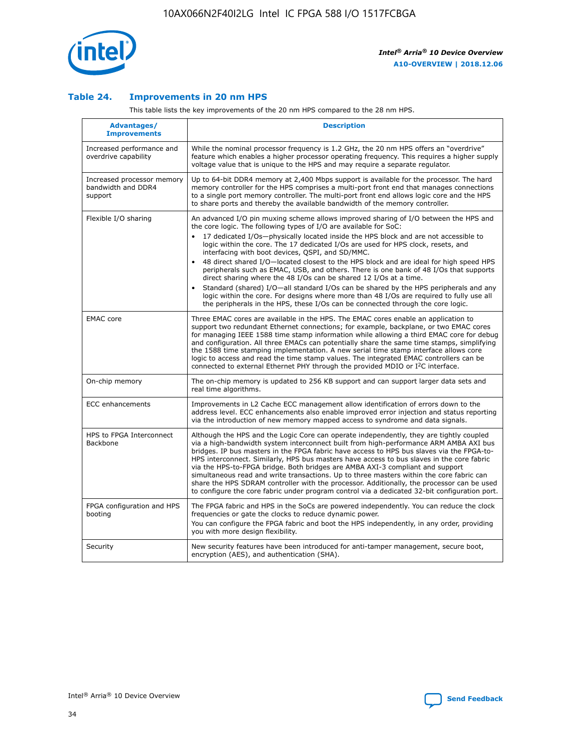

## **Table 24. Improvements in 20 nm HPS**

This table lists the key improvements of the 20 nm HPS compared to the 28 nm HPS.

| Advantages/<br><b>Improvements</b>                          | <b>Description</b>                                                                                                                                                                                                                                                                                                                                                                                                                                                                                                                                                                                                                                                                                                                                                                                                                                                                                                                   |
|-------------------------------------------------------------|--------------------------------------------------------------------------------------------------------------------------------------------------------------------------------------------------------------------------------------------------------------------------------------------------------------------------------------------------------------------------------------------------------------------------------------------------------------------------------------------------------------------------------------------------------------------------------------------------------------------------------------------------------------------------------------------------------------------------------------------------------------------------------------------------------------------------------------------------------------------------------------------------------------------------------------|
| Increased performance and<br>overdrive capability           | While the nominal processor frequency is 1.2 GHz, the 20 nm HPS offers an "overdrive"<br>feature which enables a higher processor operating frequency. This requires a higher supply<br>voltage value that is unique to the HPS and may require a separate requlator.                                                                                                                                                                                                                                                                                                                                                                                                                                                                                                                                                                                                                                                                |
| Increased processor memory<br>bandwidth and DDR4<br>support | Up to 64-bit DDR4 memory at 2,400 Mbps support is available for the processor. The hard<br>memory controller for the HPS comprises a multi-port front end that manages connections<br>to a single port memory controller. The multi-port front end allows logic core and the HPS<br>to share ports and thereby the available bandwidth of the memory controller.                                                                                                                                                                                                                                                                                                                                                                                                                                                                                                                                                                     |
| Flexible I/O sharing                                        | An advanced I/O pin muxing scheme allows improved sharing of I/O between the HPS and<br>the core logic. The following types of I/O are available for SoC:<br>17 dedicated I/Os-physically located inside the HPS block and are not accessible to<br>logic within the core. The 17 dedicated I/Os are used for HPS clock, resets, and<br>interfacing with boot devices, QSPI, and SD/MMC.<br>48 direct shared I/O-located closest to the HPS block and are ideal for high speed HPS<br>peripherals such as EMAC, USB, and others. There is one bank of 48 I/Os that supports<br>direct sharing where the 48 I/Os can be shared 12 I/Os at a time.<br>Standard (shared) I/O-all standard I/Os can be shared by the HPS peripherals and any<br>$\bullet$<br>logic within the core. For designs where more than 48 I/Os are required to fully use all<br>the peripherals in the HPS, these I/Os can be connected through the core logic. |
| <b>EMAC</b> core                                            | Three EMAC cores are available in the HPS. The EMAC cores enable an application to<br>support two redundant Ethernet connections; for example, backplane, or two EMAC cores<br>for managing IEEE 1588 time stamp information while allowing a third EMAC core for debug<br>and configuration. All three EMACs can potentially share the same time stamps, simplifying<br>the 1588 time stamping implementation. A new serial time stamp interface allows core<br>logic to access and read the time stamp values. The integrated EMAC controllers can be<br>connected to external Ethernet PHY through the provided MDIO or I <sup>2</sup> C interface.                                                                                                                                                                                                                                                                               |
| On-chip memory                                              | The on-chip memory is updated to 256 KB support and can support larger data sets and<br>real time algorithms.                                                                                                                                                                                                                                                                                                                                                                                                                                                                                                                                                                                                                                                                                                                                                                                                                        |
| <b>ECC</b> enhancements                                     | Improvements in L2 Cache ECC management allow identification of errors down to the<br>address level. ECC enhancements also enable improved error injection and status reporting<br>via the introduction of new memory mapped access to syndrome and data signals.                                                                                                                                                                                                                                                                                                                                                                                                                                                                                                                                                                                                                                                                    |
| HPS to FPGA Interconnect<br><b>Backbone</b>                 | Although the HPS and the Logic Core can operate independently, they are tightly coupled<br>via a high-bandwidth system interconnect built from high-performance ARM AMBA AXI bus<br>bridges. IP bus masters in the FPGA fabric have access to HPS bus slaves via the FPGA-to-<br>HPS interconnect. Similarly, HPS bus masters have access to bus slaves in the core fabric<br>via the HPS-to-FPGA bridge. Both bridges are AMBA AXI-3 compliant and support<br>simultaneous read and write transactions. Up to three masters within the core fabric can<br>share the HPS SDRAM controller with the processor. Additionally, the processor can be used<br>to configure the core fabric under program control via a dedicated 32-bit configuration port.                                                                                                                                                                               |
| FPGA configuration and HPS<br>booting                       | The FPGA fabric and HPS in the SoCs are powered independently. You can reduce the clock<br>frequencies or gate the clocks to reduce dynamic power.<br>You can configure the FPGA fabric and boot the HPS independently, in any order, providing<br>you with more design flexibility.                                                                                                                                                                                                                                                                                                                                                                                                                                                                                                                                                                                                                                                 |
| Security                                                    | New security features have been introduced for anti-tamper management, secure boot,<br>encryption (AES), and authentication (SHA).                                                                                                                                                                                                                                                                                                                                                                                                                                                                                                                                                                                                                                                                                                                                                                                                   |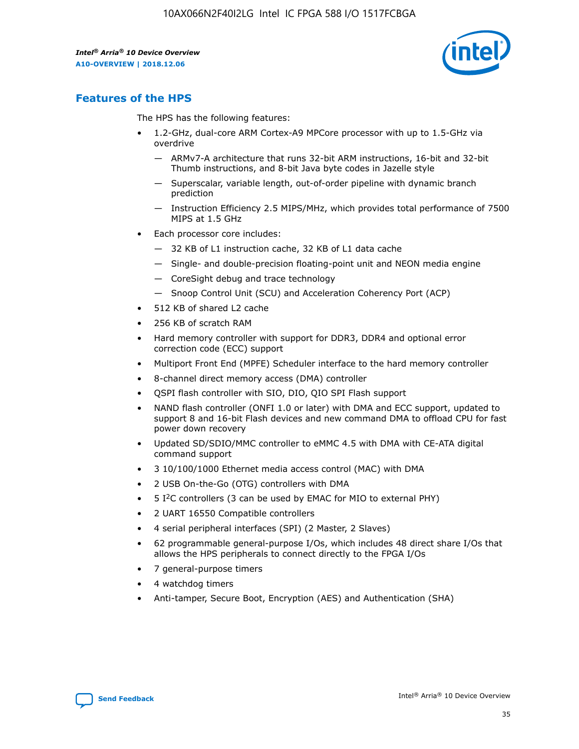

## **Features of the HPS**

The HPS has the following features:

- 1.2-GHz, dual-core ARM Cortex-A9 MPCore processor with up to 1.5-GHz via overdrive
	- ARMv7-A architecture that runs 32-bit ARM instructions, 16-bit and 32-bit Thumb instructions, and 8-bit Java byte codes in Jazelle style
	- Superscalar, variable length, out-of-order pipeline with dynamic branch prediction
	- Instruction Efficiency 2.5 MIPS/MHz, which provides total performance of 7500 MIPS at 1.5 GHz
- Each processor core includes:
	- 32 KB of L1 instruction cache, 32 KB of L1 data cache
	- Single- and double-precision floating-point unit and NEON media engine
	- CoreSight debug and trace technology
	- Snoop Control Unit (SCU) and Acceleration Coherency Port (ACP)
- 512 KB of shared L2 cache
- 256 KB of scratch RAM
- Hard memory controller with support for DDR3, DDR4 and optional error correction code (ECC) support
- Multiport Front End (MPFE) Scheduler interface to the hard memory controller
- 8-channel direct memory access (DMA) controller
- QSPI flash controller with SIO, DIO, QIO SPI Flash support
- NAND flash controller (ONFI 1.0 or later) with DMA and ECC support, updated to support 8 and 16-bit Flash devices and new command DMA to offload CPU for fast power down recovery
- Updated SD/SDIO/MMC controller to eMMC 4.5 with DMA with CE-ATA digital command support
- 3 10/100/1000 Ethernet media access control (MAC) with DMA
- 2 USB On-the-Go (OTG) controllers with DMA
- $\bullet$  5 I<sup>2</sup>C controllers (3 can be used by EMAC for MIO to external PHY)
- 2 UART 16550 Compatible controllers
- 4 serial peripheral interfaces (SPI) (2 Master, 2 Slaves)
- 62 programmable general-purpose I/Os, which includes 48 direct share I/Os that allows the HPS peripherals to connect directly to the FPGA I/Os
- 7 general-purpose timers
- 4 watchdog timers
- Anti-tamper, Secure Boot, Encryption (AES) and Authentication (SHA)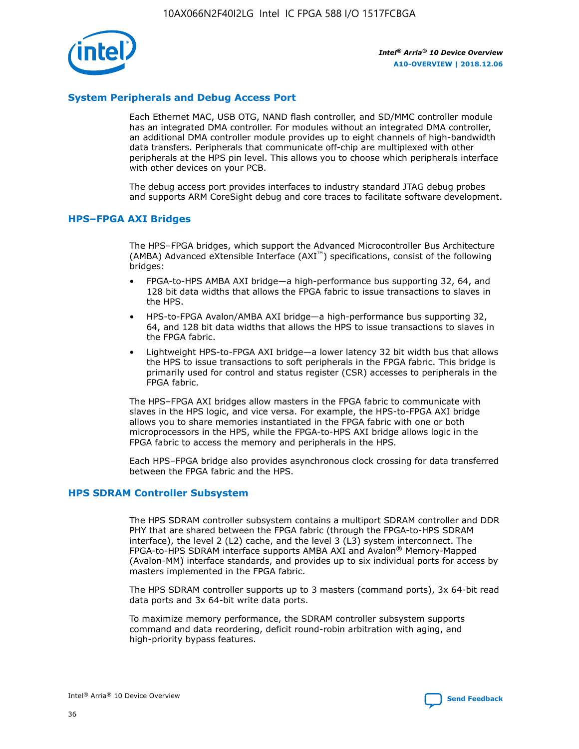

## **System Peripherals and Debug Access Port**

Each Ethernet MAC, USB OTG, NAND flash controller, and SD/MMC controller module has an integrated DMA controller. For modules without an integrated DMA controller, an additional DMA controller module provides up to eight channels of high-bandwidth data transfers. Peripherals that communicate off-chip are multiplexed with other peripherals at the HPS pin level. This allows you to choose which peripherals interface with other devices on your PCB.

The debug access port provides interfaces to industry standard JTAG debug probes and supports ARM CoreSight debug and core traces to facilitate software development.

#### **HPS–FPGA AXI Bridges**

The HPS–FPGA bridges, which support the Advanced Microcontroller Bus Architecture (AMBA) Advanced eXtensible Interface (AXI™) specifications, consist of the following bridges:

- FPGA-to-HPS AMBA AXI bridge—a high-performance bus supporting 32, 64, and 128 bit data widths that allows the FPGA fabric to issue transactions to slaves in the HPS.
- HPS-to-FPGA Avalon/AMBA AXI bridge—a high-performance bus supporting 32, 64, and 128 bit data widths that allows the HPS to issue transactions to slaves in the FPGA fabric.
- Lightweight HPS-to-FPGA AXI bridge—a lower latency 32 bit width bus that allows the HPS to issue transactions to soft peripherals in the FPGA fabric. This bridge is primarily used for control and status register (CSR) accesses to peripherals in the FPGA fabric.

The HPS–FPGA AXI bridges allow masters in the FPGA fabric to communicate with slaves in the HPS logic, and vice versa. For example, the HPS-to-FPGA AXI bridge allows you to share memories instantiated in the FPGA fabric with one or both microprocessors in the HPS, while the FPGA-to-HPS AXI bridge allows logic in the FPGA fabric to access the memory and peripherals in the HPS.

Each HPS–FPGA bridge also provides asynchronous clock crossing for data transferred between the FPGA fabric and the HPS.

#### **HPS SDRAM Controller Subsystem**

The HPS SDRAM controller subsystem contains a multiport SDRAM controller and DDR PHY that are shared between the FPGA fabric (through the FPGA-to-HPS SDRAM interface), the level 2 (L2) cache, and the level 3 (L3) system interconnect. The FPGA-to-HPS SDRAM interface supports AMBA AXI and Avalon® Memory-Mapped (Avalon-MM) interface standards, and provides up to six individual ports for access by masters implemented in the FPGA fabric.

The HPS SDRAM controller supports up to 3 masters (command ports), 3x 64-bit read data ports and 3x 64-bit write data ports.

To maximize memory performance, the SDRAM controller subsystem supports command and data reordering, deficit round-robin arbitration with aging, and high-priority bypass features.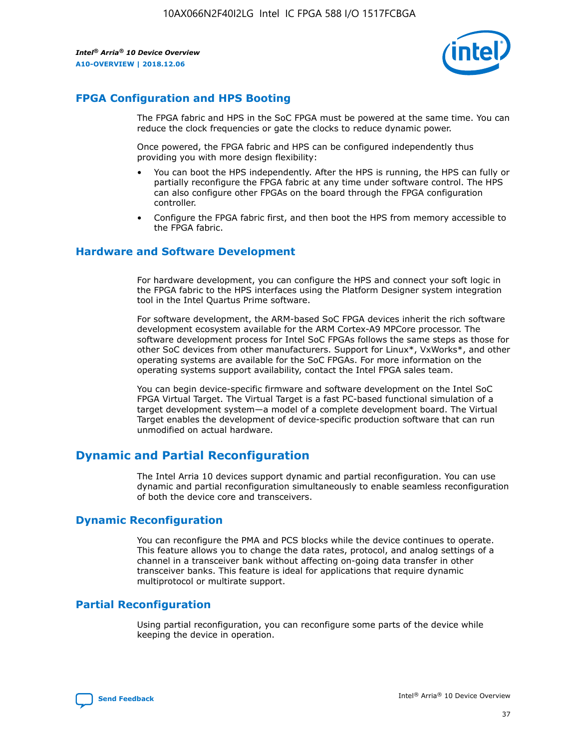

## **FPGA Configuration and HPS Booting**

The FPGA fabric and HPS in the SoC FPGA must be powered at the same time. You can reduce the clock frequencies or gate the clocks to reduce dynamic power.

Once powered, the FPGA fabric and HPS can be configured independently thus providing you with more design flexibility:

- You can boot the HPS independently. After the HPS is running, the HPS can fully or partially reconfigure the FPGA fabric at any time under software control. The HPS can also configure other FPGAs on the board through the FPGA configuration controller.
- Configure the FPGA fabric first, and then boot the HPS from memory accessible to the FPGA fabric.

## **Hardware and Software Development**

For hardware development, you can configure the HPS and connect your soft logic in the FPGA fabric to the HPS interfaces using the Platform Designer system integration tool in the Intel Quartus Prime software.

For software development, the ARM-based SoC FPGA devices inherit the rich software development ecosystem available for the ARM Cortex-A9 MPCore processor. The software development process for Intel SoC FPGAs follows the same steps as those for other SoC devices from other manufacturers. Support for Linux\*, VxWorks\*, and other operating systems are available for the SoC FPGAs. For more information on the operating systems support availability, contact the Intel FPGA sales team.

You can begin device-specific firmware and software development on the Intel SoC FPGA Virtual Target. The Virtual Target is a fast PC-based functional simulation of a target development system—a model of a complete development board. The Virtual Target enables the development of device-specific production software that can run unmodified on actual hardware.

## **Dynamic and Partial Reconfiguration**

The Intel Arria 10 devices support dynamic and partial reconfiguration. You can use dynamic and partial reconfiguration simultaneously to enable seamless reconfiguration of both the device core and transceivers.

## **Dynamic Reconfiguration**

You can reconfigure the PMA and PCS blocks while the device continues to operate. This feature allows you to change the data rates, protocol, and analog settings of a channel in a transceiver bank without affecting on-going data transfer in other transceiver banks. This feature is ideal for applications that require dynamic multiprotocol or multirate support.

## **Partial Reconfiguration**

Using partial reconfiguration, you can reconfigure some parts of the device while keeping the device in operation.

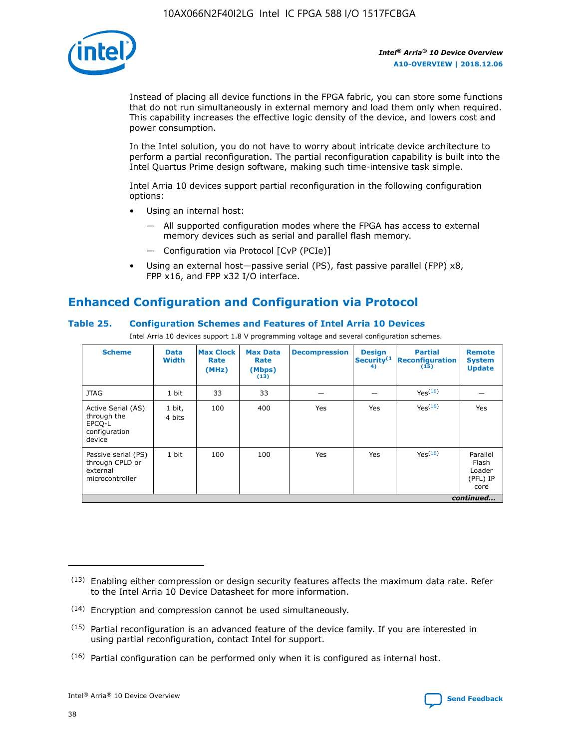

Instead of placing all device functions in the FPGA fabric, you can store some functions that do not run simultaneously in external memory and load them only when required. This capability increases the effective logic density of the device, and lowers cost and power consumption.

In the Intel solution, you do not have to worry about intricate device architecture to perform a partial reconfiguration. The partial reconfiguration capability is built into the Intel Quartus Prime design software, making such time-intensive task simple.

Intel Arria 10 devices support partial reconfiguration in the following configuration options:

- Using an internal host:
	- All supported configuration modes where the FPGA has access to external memory devices such as serial and parallel flash memory.
	- Configuration via Protocol [CvP (PCIe)]
- Using an external host—passive serial (PS), fast passive parallel (FPP) x8, FPP x16, and FPP x32 I/O interface.

# **Enhanced Configuration and Configuration via Protocol**

## **Table 25. Configuration Schemes and Features of Intel Arria 10 Devices**

Intel Arria 10 devices support 1.8 V programming voltage and several configuration schemes.

| <b>Scheme</b>                                                          | <b>Data</b><br><b>Width</b> | <b>Max Clock</b><br>Rate<br>(MHz) | <b>Max Data</b><br>Rate<br>(Mbps)<br>(13) | <b>Decompression</b> | <b>Design</b><br>Security <sup>(1</sup><br>4) | <b>Partial</b><br><b>Reconfiguration</b><br>(15) | <b>Remote</b><br><b>System</b><br><b>Update</b> |
|------------------------------------------------------------------------|-----------------------------|-----------------------------------|-------------------------------------------|----------------------|-----------------------------------------------|--------------------------------------------------|-------------------------------------------------|
| <b>JTAG</b>                                                            | 1 bit                       | 33                                | 33                                        |                      |                                               | Yes(16)                                          |                                                 |
| Active Serial (AS)<br>through the<br>EPCO-L<br>configuration<br>device | 1 bit,<br>4 bits            | 100                               | 400                                       | Yes                  | Yes                                           | $Y_{PS}(16)$                                     | Yes                                             |
| Passive serial (PS)<br>through CPLD or<br>external<br>microcontroller  | 1 bit                       | 100                               | 100                                       | Yes                  | Yes                                           | Yes(16)                                          | Parallel<br>Flash<br>Loader<br>(PFL) IP<br>core |
|                                                                        |                             |                                   |                                           |                      |                                               |                                                  | continued                                       |

<sup>(13)</sup> Enabling either compression or design security features affects the maximum data rate. Refer to the Intel Arria 10 Device Datasheet for more information.

<sup>(14)</sup> Encryption and compression cannot be used simultaneously.

 $<sup>(15)</sup>$  Partial reconfiguration is an advanced feature of the device family. If you are interested in</sup> using partial reconfiguration, contact Intel for support.

 $(16)$  Partial configuration can be performed only when it is configured as internal host.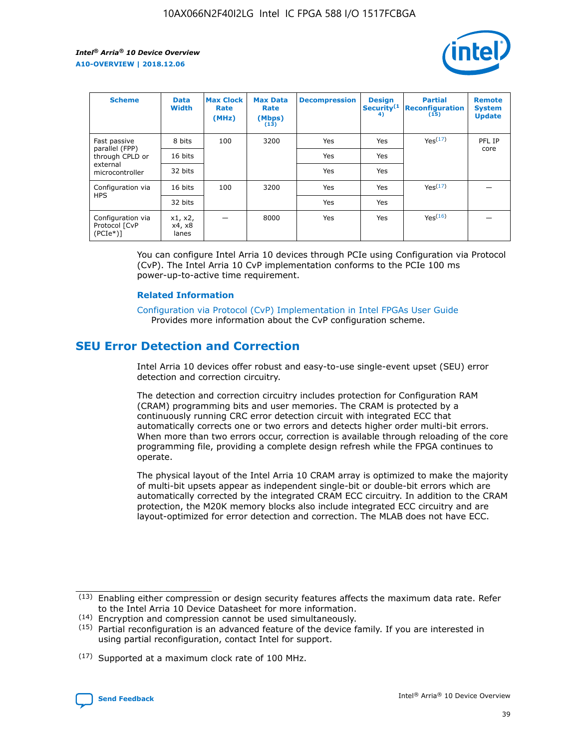

| <b>Scheme</b>                                   | <b>Data</b><br><b>Width</b> | <b>Max Clock</b><br>Rate<br>(MHz) | <b>Max Data</b><br>Rate<br>(Mbps)<br>(13) | <b>Decompression</b> | <b>Design</b><br>Security <sup>(1</sup><br>4) | <b>Partial</b><br><b>Reconfiguration</b><br>(15) | <b>Remote</b><br><b>System</b><br><b>Update</b> |
|-------------------------------------------------|-----------------------------|-----------------------------------|-------------------------------------------|----------------------|-----------------------------------------------|--------------------------------------------------|-------------------------------------------------|
| Fast passive                                    | 8 bits                      | 100                               | 3200                                      | Yes                  | Yes                                           | Yes(17)                                          | PFL IP                                          |
| parallel (FPP)<br>through CPLD or               | 16 bits                     |                                   |                                           | Yes                  | Yes                                           |                                                  | core                                            |
| external<br>microcontroller                     | 32 bits                     |                                   |                                           | Yes                  | Yes                                           |                                                  |                                                 |
| Configuration via                               | 16 bits                     | 100                               | 3200                                      | Yes                  | Yes                                           | Yes <sup>(17)</sup>                              |                                                 |
| <b>HPS</b>                                      | 32 bits                     |                                   |                                           | Yes                  | Yes                                           |                                                  |                                                 |
| Configuration via<br>Protocol [CvP<br>$(PCIe*)$ | x1, x2,<br>x4, x8<br>lanes  |                                   | 8000                                      | Yes                  | Yes                                           | Yes <sup>(16)</sup>                              |                                                 |

You can configure Intel Arria 10 devices through PCIe using Configuration via Protocol (CvP). The Intel Arria 10 CvP implementation conforms to the PCIe 100 ms power-up-to-active time requirement.

### **Related Information**

[Configuration via Protocol \(CvP\) Implementation in Intel FPGAs User Guide](https://www.intel.com/content/www/us/en/programmable/documentation/dsu1441819344145.html#dsu1442269728522) Provides more information about the CvP configuration scheme.

## **SEU Error Detection and Correction**

Intel Arria 10 devices offer robust and easy-to-use single-event upset (SEU) error detection and correction circuitry.

The detection and correction circuitry includes protection for Configuration RAM (CRAM) programming bits and user memories. The CRAM is protected by a continuously running CRC error detection circuit with integrated ECC that automatically corrects one or two errors and detects higher order multi-bit errors. When more than two errors occur, correction is available through reloading of the core programming file, providing a complete design refresh while the FPGA continues to operate.

The physical layout of the Intel Arria 10 CRAM array is optimized to make the majority of multi-bit upsets appear as independent single-bit or double-bit errors which are automatically corrected by the integrated CRAM ECC circuitry. In addition to the CRAM protection, the M20K memory blocks also include integrated ECC circuitry and are layout-optimized for error detection and correction. The MLAB does not have ECC.

(14) Encryption and compression cannot be used simultaneously.

<sup>(17)</sup> Supported at a maximum clock rate of 100 MHz.



 $(13)$  Enabling either compression or design security features affects the maximum data rate. Refer to the Intel Arria 10 Device Datasheet for more information.

 $(15)$  Partial reconfiguration is an advanced feature of the device family. If you are interested in using partial reconfiguration, contact Intel for support.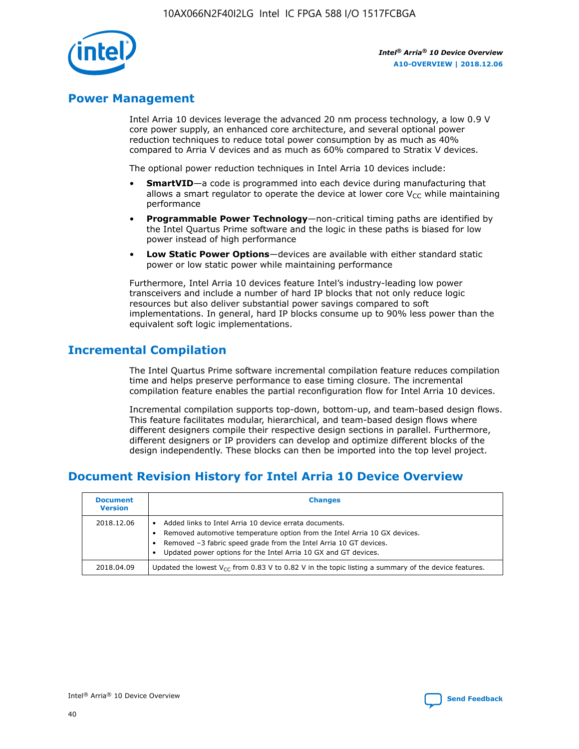

## **Power Management**

Intel Arria 10 devices leverage the advanced 20 nm process technology, a low 0.9 V core power supply, an enhanced core architecture, and several optional power reduction techniques to reduce total power consumption by as much as 40% compared to Arria V devices and as much as 60% compared to Stratix V devices.

The optional power reduction techniques in Intel Arria 10 devices include:

- **SmartVID**—a code is programmed into each device during manufacturing that allows a smart regulator to operate the device at lower core  $V_{CC}$  while maintaining performance
- **Programmable Power Technology**—non-critical timing paths are identified by the Intel Quartus Prime software and the logic in these paths is biased for low power instead of high performance
- **Low Static Power Options**—devices are available with either standard static power or low static power while maintaining performance

Furthermore, Intel Arria 10 devices feature Intel's industry-leading low power transceivers and include a number of hard IP blocks that not only reduce logic resources but also deliver substantial power savings compared to soft implementations. In general, hard IP blocks consume up to 90% less power than the equivalent soft logic implementations.

## **Incremental Compilation**

The Intel Quartus Prime software incremental compilation feature reduces compilation time and helps preserve performance to ease timing closure. The incremental compilation feature enables the partial reconfiguration flow for Intel Arria 10 devices.

Incremental compilation supports top-down, bottom-up, and team-based design flows. This feature facilitates modular, hierarchical, and team-based design flows where different designers compile their respective design sections in parallel. Furthermore, different designers or IP providers can develop and optimize different blocks of the design independently. These blocks can then be imported into the top level project.

## **Document Revision History for Intel Arria 10 Device Overview**

| <b>Document</b><br><b>Version</b> | <b>Changes</b>                                                                                                                                                                                                                                                              |
|-----------------------------------|-----------------------------------------------------------------------------------------------------------------------------------------------------------------------------------------------------------------------------------------------------------------------------|
| 2018.12.06                        | Added links to Intel Arria 10 device errata documents.<br>Removed automotive temperature option from the Intel Arria 10 GX devices.<br>Removed -3 fabric speed grade from the Intel Arria 10 GT devices.<br>Updated power options for the Intel Arria 10 GX and GT devices. |
| 2018.04.09                        | Updated the lowest $V_{CC}$ from 0.83 V to 0.82 V in the topic listing a summary of the device features.                                                                                                                                                                    |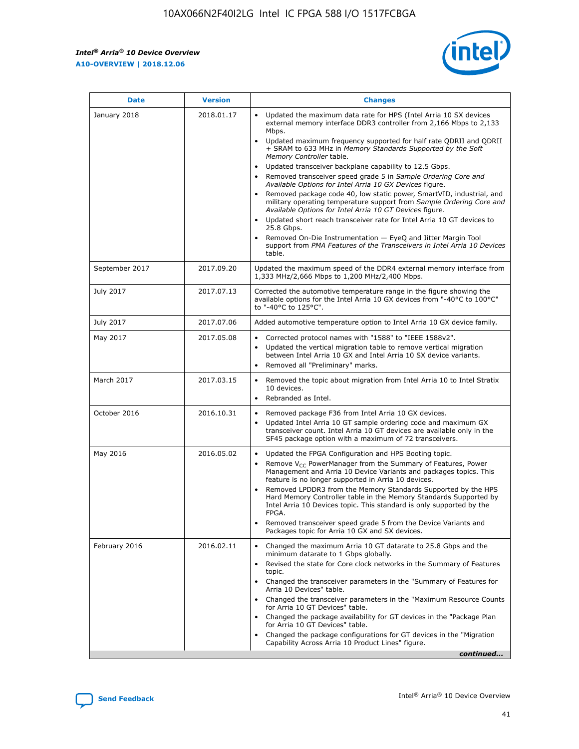*Intel® Arria® 10 Device Overview* **A10-OVERVIEW | 2018.12.06**



| <b>Date</b>    | <b>Version</b> | <b>Changes</b>                                                                                                                                                                                                                                                                                                                                                                                                                                                                                                                                                                                                                                                                                                                                                                                                                                                                                                                                                            |
|----------------|----------------|---------------------------------------------------------------------------------------------------------------------------------------------------------------------------------------------------------------------------------------------------------------------------------------------------------------------------------------------------------------------------------------------------------------------------------------------------------------------------------------------------------------------------------------------------------------------------------------------------------------------------------------------------------------------------------------------------------------------------------------------------------------------------------------------------------------------------------------------------------------------------------------------------------------------------------------------------------------------------|
| January 2018   | 2018.01.17     | Updated the maximum data rate for HPS (Intel Arria 10 SX devices<br>external memory interface DDR3 controller from 2,166 Mbps to 2,133<br>Mbps.<br>Updated maximum frequency supported for half rate QDRII and QDRII<br>+ SRAM to 633 MHz in Memory Standards Supported by the Soft<br>Memory Controller table.<br>Updated transceiver backplane capability to 12.5 Gbps.<br>$\bullet$<br>Removed transceiver speed grade 5 in Sample Ordering Core and<br>Available Options for Intel Arria 10 GX Devices figure.<br>Removed package code 40, low static power, SmartVID, industrial, and<br>military operating temperature support from Sample Ordering Core and<br>Available Options for Intel Arria 10 GT Devices figure.<br>Updated short reach transceiver rate for Intel Arria 10 GT devices to<br>25.8 Gbps.<br>Removed On-Die Instrumentation - EyeQ and Jitter Margin Tool<br>support from PMA Features of the Transceivers in Intel Arria 10 Devices<br>table. |
| September 2017 | 2017.09.20     | Updated the maximum speed of the DDR4 external memory interface from<br>1,333 MHz/2,666 Mbps to 1,200 MHz/2,400 Mbps.                                                                                                                                                                                                                                                                                                                                                                                                                                                                                                                                                                                                                                                                                                                                                                                                                                                     |
| July 2017      | 2017.07.13     | Corrected the automotive temperature range in the figure showing the<br>available options for the Intel Arria 10 GX devices from "-40°C to 100°C"<br>to "-40°C to 125°C".                                                                                                                                                                                                                                                                                                                                                                                                                                                                                                                                                                                                                                                                                                                                                                                                 |
| July 2017      | 2017.07.06     | Added automotive temperature option to Intel Arria 10 GX device family.                                                                                                                                                                                                                                                                                                                                                                                                                                                                                                                                                                                                                                                                                                                                                                                                                                                                                                   |
| May 2017       | 2017.05.08     | Corrected protocol names with "1588" to "IEEE 1588v2".<br>Updated the vertical migration table to remove vertical migration<br>between Intel Arria 10 GX and Intel Arria 10 SX device variants.<br>Removed all "Preliminary" marks.                                                                                                                                                                                                                                                                                                                                                                                                                                                                                                                                                                                                                                                                                                                                       |
| March 2017     | 2017.03.15     | Removed the topic about migration from Intel Arria 10 to Intel Stratix<br>10 devices.<br>Rebranded as Intel.<br>$\bullet$                                                                                                                                                                                                                                                                                                                                                                                                                                                                                                                                                                                                                                                                                                                                                                                                                                                 |
| October 2016   | 2016.10.31     | Removed package F36 from Intel Arria 10 GX devices.<br>Updated Intel Arria 10 GT sample ordering code and maximum GX<br>$\bullet$<br>transceiver count. Intel Arria 10 GT devices are available only in the<br>SF45 package option with a maximum of 72 transceivers.                                                                                                                                                                                                                                                                                                                                                                                                                                                                                                                                                                                                                                                                                                     |
| May 2016       | 2016.05.02     | Updated the FPGA Configuration and HPS Booting topic.<br>Remove V <sub>CC</sub> PowerManager from the Summary of Features, Power<br>Management and Arria 10 Device Variants and packages topics. This<br>feature is no longer supported in Arria 10 devices.<br>Removed LPDDR3 from the Memory Standards Supported by the HPS<br>Hard Memory Controller table in the Memory Standards Supported by<br>Intel Arria 10 Devices topic. This standard is only supported by the<br>FPGA.<br>Removed transceiver speed grade 5 from the Device Variants and<br>Packages topic for Arria 10 GX and SX devices.                                                                                                                                                                                                                                                                                                                                                                   |
| February 2016  | 2016.02.11     | Changed the maximum Arria 10 GT datarate to 25.8 Gbps and the<br>minimum datarate to 1 Gbps globally.<br>Revised the state for Core clock networks in the Summary of Features<br>$\bullet$<br>topic.<br>Changed the transceiver parameters in the "Summary of Features for<br>Arria 10 Devices" table.<br>• Changed the transceiver parameters in the "Maximum Resource Counts<br>for Arria 10 GT Devices" table.<br>• Changed the package availability for GT devices in the "Package Plan<br>for Arria 10 GT Devices" table.<br>Changed the package configurations for GT devices in the "Migration"<br>Capability Across Arria 10 Product Lines" figure.<br>continued                                                                                                                                                                                                                                                                                                  |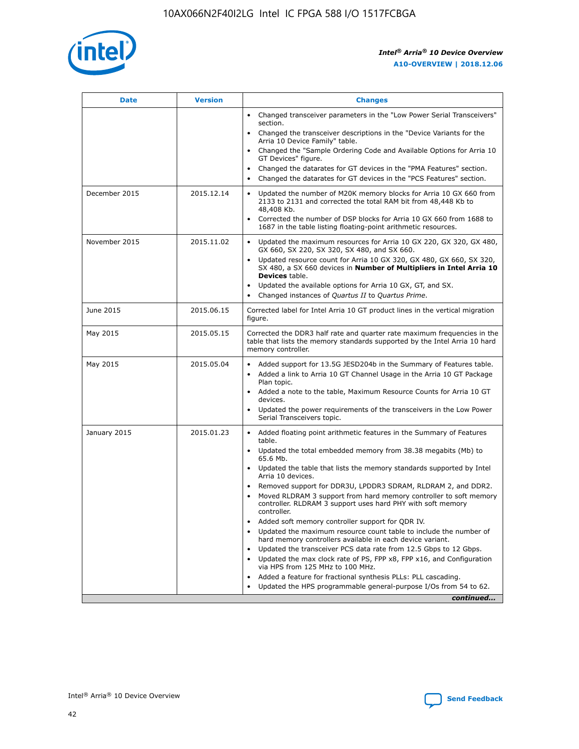

| <b>Date</b>   | <b>Version</b> | <b>Changes</b>                                                                                                                                                               |
|---------------|----------------|------------------------------------------------------------------------------------------------------------------------------------------------------------------------------|
|               |                | • Changed transceiver parameters in the "Low Power Serial Transceivers"<br>section.                                                                                          |
|               |                | • Changed the transceiver descriptions in the "Device Variants for the<br>Arria 10 Device Family" table.                                                                     |
|               |                | Changed the "Sample Ordering Code and Available Options for Arria 10<br>$\bullet$<br>GT Devices" figure.                                                                     |
|               |                | Changed the datarates for GT devices in the "PMA Features" section.                                                                                                          |
|               |                | Changed the datarates for GT devices in the "PCS Features" section.<br>$\bullet$                                                                                             |
| December 2015 | 2015.12.14     | Updated the number of M20K memory blocks for Arria 10 GX 660 from<br>2133 to 2131 and corrected the total RAM bit from 48,448 Kb to<br>48,408 Kb.                            |
|               |                | Corrected the number of DSP blocks for Arria 10 GX 660 from 1688 to<br>1687 in the table listing floating-point arithmetic resources.                                        |
| November 2015 | 2015.11.02     | Updated the maximum resources for Arria 10 GX 220, GX 320, GX 480,<br>$\bullet$<br>GX 660, SX 220, SX 320, SX 480, and SX 660.                                               |
|               |                | • Updated resource count for Arria 10 GX 320, GX 480, GX 660, SX 320,<br>SX 480, a SX 660 devices in Number of Multipliers in Intel Arria 10<br><b>Devices</b> table.        |
|               |                | Updated the available options for Arria 10 GX, GT, and SX.                                                                                                                   |
|               |                | Changed instances of Quartus II to Quartus Prime.<br>$\bullet$                                                                                                               |
| June 2015     | 2015.06.15     | Corrected label for Intel Arria 10 GT product lines in the vertical migration<br>figure.                                                                                     |
| May 2015      | 2015.05.15     | Corrected the DDR3 half rate and quarter rate maximum frequencies in the<br>table that lists the memory standards supported by the Intel Arria 10 hard<br>memory controller. |
| May 2015      | 2015.05.04     | • Added support for 13.5G JESD204b in the Summary of Features table.                                                                                                         |
|               |                | • Added a link to Arria 10 GT Channel Usage in the Arria 10 GT Package<br>Plan topic.                                                                                        |
|               |                | • Added a note to the table, Maximum Resource Counts for Arria 10 GT<br>devices.                                                                                             |
|               |                | • Updated the power requirements of the transceivers in the Low Power<br>Serial Transceivers topic.                                                                          |
| January 2015  | 2015.01.23     | • Added floating point arithmetic features in the Summary of Features<br>table.                                                                                              |
|               |                | • Updated the total embedded memory from 38.38 megabits (Mb) to<br>65.6 Mb.                                                                                                  |
|               |                | • Updated the table that lists the memory standards supported by Intel<br>Arria 10 devices.                                                                                  |
|               |                | Removed support for DDR3U, LPDDR3 SDRAM, RLDRAM 2, and DDR2.                                                                                                                 |
|               |                | Moved RLDRAM 3 support from hard memory controller to soft memory<br>controller. RLDRAM 3 support uses hard PHY with soft memory<br>controller.                              |
|               |                | Added soft memory controller support for QDR IV.<br>٠                                                                                                                        |
|               |                | Updated the maximum resource count table to include the number of<br>hard memory controllers available in each device variant.                                               |
|               |                | Updated the transceiver PCS data rate from 12.5 Gbps to 12 Gbps.<br>$\bullet$                                                                                                |
|               |                | Updated the max clock rate of PS, FPP x8, FPP x16, and Configuration<br>via HPS from 125 MHz to 100 MHz.                                                                     |
|               |                | Added a feature for fractional synthesis PLLs: PLL cascading.                                                                                                                |
|               |                | Updated the HPS programmable general-purpose I/Os from 54 to 62.<br>$\bullet$                                                                                                |
|               |                | continued                                                                                                                                                                    |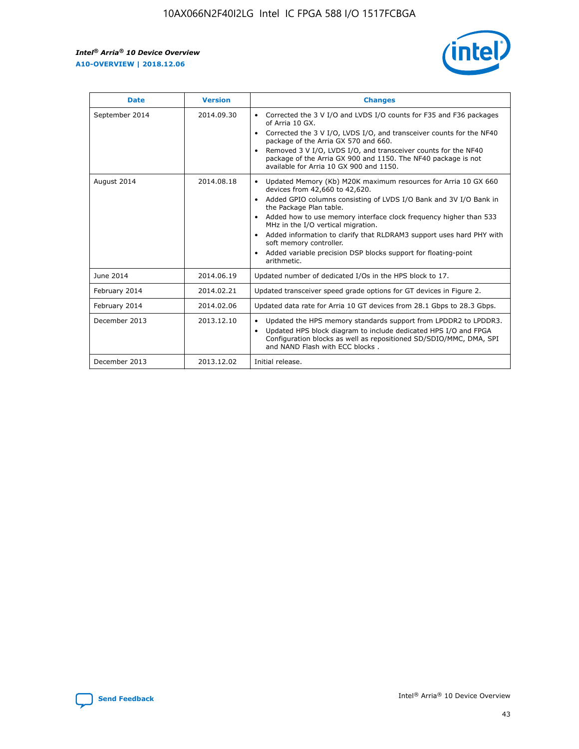r



| <b>Date</b>    | <b>Version</b> | <b>Changes</b>                                                                                                                                                                                                                                                                                                                                                                                                                                                                                                                                      |
|----------------|----------------|-----------------------------------------------------------------------------------------------------------------------------------------------------------------------------------------------------------------------------------------------------------------------------------------------------------------------------------------------------------------------------------------------------------------------------------------------------------------------------------------------------------------------------------------------------|
| September 2014 | 2014.09.30     | Corrected the 3 V I/O and LVDS I/O counts for F35 and F36 packages<br>$\bullet$<br>of Arria 10 GX.<br>Corrected the 3 V I/O, LVDS I/O, and transceiver counts for the NF40<br>$\bullet$<br>package of the Arria GX 570 and 660.<br>Removed 3 V I/O, LVDS I/O, and transceiver counts for the NF40<br>package of the Arria GX 900 and 1150. The NF40 package is not<br>available for Arria 10 GX 900 and 1150.                                                                                                                                       |
| August 2014    | 2014.08.18     | Updated Memory (Kb) M20K maximum resources for Arria 10 GX 660<br>devices from 42,660 to 42,620.<br>Added GPIO columns consisting of LVDS I/O Bank and 3V I/O Bank in<br>$\bullet$<br>the Package Plan table.<br>Added how to use memory interface clock frequency higher than 533<br>$\bullet$<br>MHz in the I/O vertical migration.<br>Added information to clarify that RLDRAM3 support uses hard PHY with<br>$\bullet$<br>soft memory controller.<br>Added variable precision DSP blocks support for floating-point<br>$\bullet$<br>arithmetic. |
| June 2014      | 2014.06.19     | Updated number of dedicated I/Os in the HPS block to 17.                                                                                                                                                                                                                                                                                                                                                                                                                                                                                            |
| February 2014  | 2014.02.21     | Updated transceiver speed grade options for GT devices in Figure 2.                                                                                                                                                                                                                                                                                                                                                                                                                                                                                 |
| February 2014  | 2014.02.06     | Updated data rate for Arria 10 GT devices from 28.1 Gbps to 28.3 Gbps.                                                                                                                                                                                                                                                                                                                                                                                                                                                                              |
| December 2013  | 2013.12.10     | Updated the HPS memory standards support from LPDDR2 to LPDDR3.<br>Updated HPS block diagram to include dedicated HPS I/O and FPGA<br>$\bullet$<br>Configuration blocks as well as repositioned SD/SDIO/MMC, DMA, SPI<br>and NAND Flash with ECC blocks.                                                                                                                                                                                                                                                                                            |
| December 2013  | 2013.12.02     | Initial release.                                                                                                                                                                                                                                                                                                                                                                                                                                                                                                                                    |